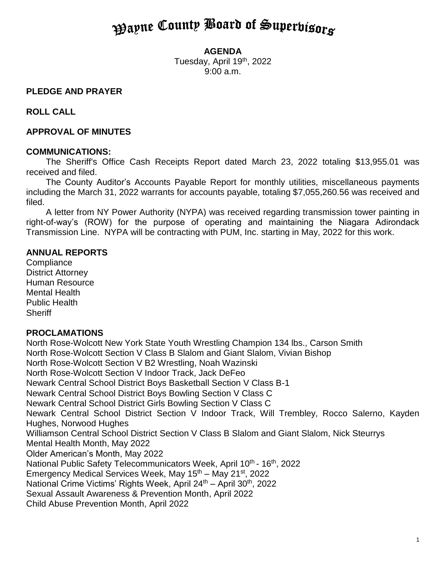# **Payne County Board of Superbisors**

#### **AGENDA**

Tuesday, April 19<sup>th</sup>, 2022 9:00 a.m.

## **PLEDGE AND PRAYER**

**ROLL CALL**

## **APPROVAL OF MINUTES**

#### **COMMUNICATIONS:**

The Sheriff's Office Cash Receipts Report dated March 23, 2022 totaling \$13,955.01 was received and filed.

The County Auditor's Accounts Payable Report for monthly utilities, miscellaneous payments including the March 31, 2022 warrants for accounts payable, totaling \$7,055,260.56 was received and filed.

A letter from NY Power Authority (NYPA) was received regarding transmission tower painting in right-of-way's (ROW) for the purpose of operating and maintaining the Niagara Adirondack Transmission Line. NYPA will be contracting with PUM, Inc. starting in May, 2022 for this work.

#### **ANNUAL REPORTS**

**Compliance** District Attorney Human Resource Mental Health Public Health **Sheriff** 

#### **PROCLAMATIONS**

North Rose-Wolcott New York State Youth Wrestling Champion 134 lbs., Carson Smith North Rose-Wolcott Section V Class B Slalom and Giant Slalom, Vivian Bishop North Rose-Wolcott Section V B2 Wrestling, Noah Wazinski North Rose-Wolcott Section V Indoor Track, Jack DeFeo Newark Central School District Boys Basketball Section V Class B-1 Newark Central School District Boys Bowling Section V Class C Newark Central School District Girls Bowling Section V Class C Newark Central School District Section V Indoor Track, Will Trembley, Rocco Salerno, Kayden Hughes, Norwood Hughes Williamson Central School District Section V Class B Slalom and Giant Slalom, Nick Steurrys Mental Health Month, May 2022 Older American's Month, May 2022 National Public Safety Telecommunicators Week, April 10<sup>th</sup> - 16<sup>th</sup>, 2022 Emergency Medical Services Week, May  $15<sup>th</sup>$  – May  $21<sup>st</sup>$ , 2022 National Crime Victims' Rights Week, April 24<sup>th</sup> – April 30<sup>th</sup>, 2022 Sexual Assault Awareness & Prevention Month, April 2022 Child Abuse Prevention Month, April 2022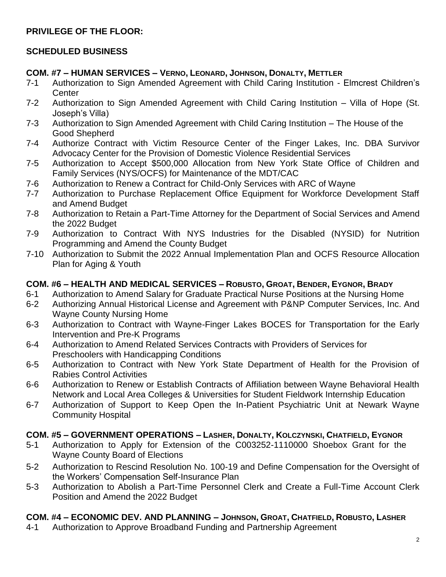# **PRIVILEGE OF THE FLOOR:**

# **SCHEDULED BUSINESS**

## **COM. #7 – HUMAN SERVICES – VERNO, LEONARD, JOHNSON, DONALTY, METTLER**

- 7-1 Authorization to Sign Amended Agreement with Child Caring Institution Elmcrest Children's **Center**
- 7-2 Authorization to Sign Amended Agreement with Child Caring Institution Villa of Hope (St. Joseph's Villa)
- 7-3 Authorization to Sign Amended Agreement with Child Caring Institution The House of the Good Shepherd
- 7-4 Authorize Contract with Victim Resource Center of the Finger Lakes, Inc. DBA Survivor Advocacy Center for the Provision of Domestic Violence Residential Services
- 7-5 Authorization to Accept \$500,000 Allocation from New York State Office of Children and Family Services (NYS/OCFS) for Maintenance of the MDT/CAC
- 7-6 Authorization to Renew a Contract for Child-Only Services with ARC of Wayne
- 7-7 Authorization to Purchase Replacement Office Equipment for Workforce Development Staff and Amend Budget
- 7-8 Authorization to Retain a Part-Time Attorney for the Department of Social Services and Amend the 2022 Budget
- 7-9 Authorization to Contract With NYS Industries for the Disabled (NYSID) for Nutrition Programming and Amend the County Budget
- 7-10 Authorization to Submit the 2022 Annual Implementation Plan and OCFS Resource Allocation Plan for Aging & Youth

# **COM. #6 – HEALTH AND MEDICAL SERVICES – ROBUSTO, GROAT, BENDER, EYGNOR, BRADY**

- 6-1 Authorization to Amend Salary for Graduate Practical Nurse Positions at the Nursing Home
- 6-2 Authorizing Annual Historical License and Agreement with P&NP Computer Services, Inc. And Wayne County Nursing Home
- 6-3 Authorization to Contract with Wayne-Finger Lakes BOCES for Transportation for the Early Intervention and Pre-K Programs
- 6-4 Authorization to Amend Related Services Contracts with Providers of Services for Preschoolers with Handicapping Conditions
- 6-5 Authorization to Contract with New York State Department of Health for the Provision of Rabies Control Activities
- 6-6 Authorization to Renew or Establish Contracts of Affiliation between Wayne Behavioral Health Network and Local Area Colleges & Universities for Student Fieldwork Internship Education
- 6-7 Authorization of Support to Keep Open the In-Patient Psychiatric Unit at Newark Wayne Community Hospital

# **COM. #5 – GOVERNMENT OPERATIONS – LASHER, DONALTY, KOLCZYNSKI, CHATFIELD, EYGNOR**

- 5-1 Authorization to Apply for Extension of the C003252-1110000 Shoebox Grant for the Wayne County Board of Elections
- 5-2 Authorization to Rescind Resolution No. 100-19 and Define Compensation for the Oversight of the Workers' Compensation Self-Insurance Plan
- 5-3 Authorization to Abolish a Part-Time Personnel Clerk and Create a Full-Time Account Clerk Position and Amend the 2022 Budget

# **COM. #4 – ECONOMIC DEV. AND PLANNING – JOHNSON, GROAT, CHATFIELD, ROBUSTO, LASHER**

4-1 Authorization to Approve Broadband Funding and Partnership Agreement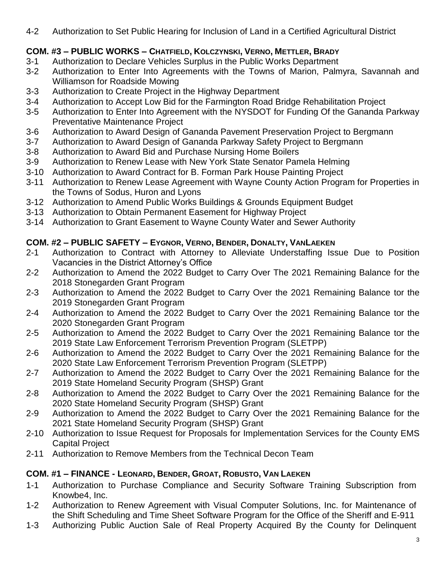4-2 Authorization to Set Public Hearing for Inclusion of Land in a Certified Agricultural District

# **COM. #3 – PUBLIC WORKS – CHATFIELD, KOLCZYNSKI, VERNO, METTLER, BRADY**

- 3-1 Authorization to Declare Vehicles Surplus in the Public Works Department
- 3-2 Authorization to Enter Into Agreements with the Towns of Marion, Palmyra, Savannah and Williamson for Roadside Mowing
- 3-3 Authorization to Create Project in the Highway Department
- 3-4 Authorization to Accept Low Bid for the Farmington Road Bridge Rehabilitation Project
- 3-5 Authorization to Enter Into Agreement with the NYSDOT for Funding Of the Gananda Parkway Preventative Maintenance Project
- 3-6 Authorization to Award Design of Gananda Pavement Preservation Project to Bergmann
- 3-7 Authorization to Award Design of Gananda Parkway Safety Project to Bergmann
- 3-8 Authorization to Award Bid and Purchase Nursing Home Boilers
- 3-9 Authorization to Renew Lease with New York State Senator Pamela Helming
- 3-10 Authorization to Award Contract for B. Forman Park House Painting Project
- 3-11 Authorization to Renew Lease Agreement with Wayne County Action Program for Properties in the Towns of Sodus, Huron and Lyons
- 3-12 Authorization to Amend Public Works Buildings & Grounds Equipment Budget
- 3-13 Authorization to Obtain Permanent Easement for Highway Project
- 3-14 Authorization to Grant Easement to Wayne County Water and Sewer Authority

# **COM. #2 – PUBLIC SAFETY – EYGNOR, VERNO, BENDER, DONALTY, VANLAEKEN**

- 2-1 Authorization to Contract with Attorney to Alleviate Understaffing Issue Due to Position Vacancies in the District Attorney's Office
- 2-2 Authorization to Amend the 2022 Budget to Carry Over The 2021 Remaining Balance for the 2018 Stonegarden Grant Program
- 2-3 Authorization to Amend the 2022 Budget to Carry Over the 2021 Remaining Balance tor the 2019 Stonegarden Grant Program
- 2-4 Authorization to Amend the 2022 Budget to Carry Over the 2021 Remaining Balance tor the 2020 Stonegarden Grant Program
- 2-5 Authorization to Amend the 2022 Budget to Carry Over the 2021 Remaining Balance tor the 2019 State Law Enforcement Terrorism Prevention Program (SLETPP)
- 2-6 Authorization to Amend the 2022 Budget to Carry Over the 2021 Remaining Balance for the 2020 State Law Enforcement Terrorism Prevention Program (SLETPP)
- 2-7 Authorization to Amend the 2022 Budget to Carry Over the 2021 Remaining Balance for the 2019 State Homeland Security Program (SHSP) Grant
- 2-8 Authorization to Amend the 2022 Budget to Carry Over the 2021 Remaining Balance for the 2020 State Homeland Security Program (SHSP) Grant
- 2-9 Authorization to Amend the 2022 Budget to Carry Over the 2021 Remaining Balance for the 2021 State Homeland Security Program (SHSP) Grant
- 2-10 Authorization to Issue Request for Proposals for Implementation Services for the County EMS Capital Project
- 2-11 Authorization to Remove Members from the Technical Decon Team

# **COM. #1 – FINANCE - LEONARD, BENDER, GROAT, ROBUSTO, VAN LAEKEN**

- 1-1 Authorization to Purchase Compliance and Security Software Training Subscription from Knowbe4, Inc.
- 1-2 Authorization to Renew Agreement with Visual Computer Solutions, Inc. for Maintenance of the Shift Scheduling and Time Sheet Software Program for the Office of the Sheriff and E-911
- 1-3 Authorizing Public Auction Sale of Real Property Acquired By the County for Delinquent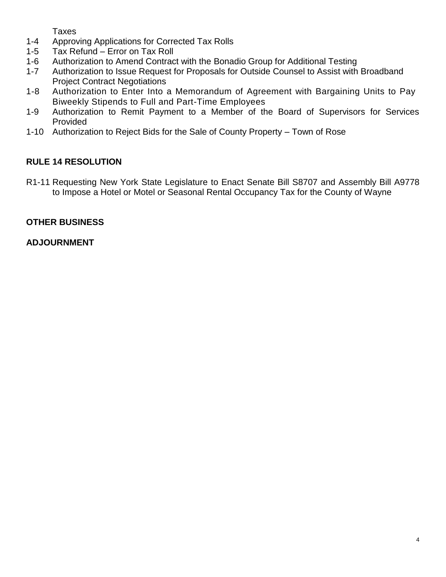Taxes

- 1-4 Approving Applications for Corrected Tax Rolls
- 1-5 Tax Refund Error on Tax Roll
- 1-6 Authorization to Amend Contract with the Bonadio Group for Additional Testing
- 1-7 Authorization to Issue Request for Proposals for Outside Counsel to Assist with Broadband Project Contract Negotiations
- 1-8 Authorization to Enter Into a Memorandum of Agreement with Bargaining Units to Pay Biweekly Stipends to Full and Part-Time Employees
- 1-9 Authorization to Remit Payment to a Member of the Board of Supervisors for Services Provided
- 1-10 Authorization to Reject Bids for the Sale of County Property Town of Rose

# **RULE 14 RESOLUTION**

R1-11 Requesting New York State Legislature to Enact Senate Bill S8707 and Assembly Bill A9778 to Impose a Hotel or Motel or Seasonal Rental Occupancy Tax for the County of Wayne

# **OTHER BUSINESS**

# **ADJOURNMENT**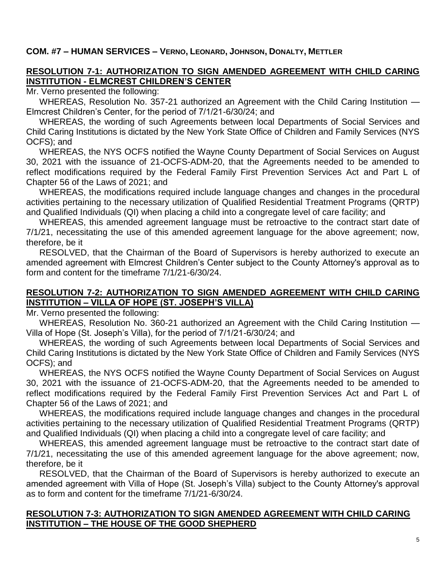#### **COM. #7 – HUMAN SERVICES – VERNO, LEONARD, JOHNSON, DONALTY, METTLER**

# **RESOLUTION 7-1: AUTHORIZATION TO SIGN AMENDED AGREEMENT WITH CHILD CARING INSTITUTION - ELMCREST CHILDREN'S CENTER**

Mr. Verno presented the following:

WHEREAS, Resolution No. 357-21 authorized an Agreement with the Child Caring Institution — Elmcrest Children's Center, for the period of 7/1/21-6/30/24; and

WHEREAS, the wording of such Agreements between local Departments of Social Services and Child Caring Institutions is dictated by the New York State Office of Children and Family Services (NYS OCFS); and

WHEREAS, the NYS OCFS notified the Wayne County Department of Social Services on August 30, 2021 with the issuance of 21-OCFS-ADM-20, that the Agreements needed to be amended to reflect modifications required by the Federal Family First Prevention Services Act and Part L of Chapter 56 of the Laws of 2021; and

WHEREAS, the modifications required include language changes and changes in the procedural activities pertaining to the necessary utilization of Qualified Residential Treatment Programs (QRTP) and Qualified Individuals (QI) when placing a child into a congregate level of care facility; and

WHEREAS, this amended agreement language must be retroactive to the contract start date of 7/1/21, necessitating the use of this amended agreement language for the above agreement; now, therefore, be it

RESOLVED, that the Chairman of the Board of Supervisors is hereby authorized to execute an amended agreement with Elmcrest Children's Center subject to the County Attorney's approval as to form and content for the timeframe 7/1/21-6/30/24.

## **RESOLUTION 7-2: AUTHORIZATION TO SIGN AMENDED AGREEMENT WITH CHILD CARING INSTITUTION – VILLA OF HOPE (ST. JOSEPH'S VILLA)**

Mr. Verno presented the following:

WHEREAS, Resolution No. 360-21 authorized an Agreement with the Child Caring Institution — Villa of Hope (St. Joseph's Villa), for the period of 7/1/21-6/30/24; and

WHEREAS, the wording of such Agreements between local Departments of Social Services and Child Caring Institutions is dictated by the New York State Office of Children and Family Services (NYS OCFS); and

WHEREAS, the NYS OCFS notified the Wayne County Department of Social Services on August 30, 2021 with the issuance of 21-OCFS-ADM-20, that the Agreements needed to be amended to reflect modifications required by the Federal Family First Prevention Services Act and Part L of Chapter 56 of the Laws of 2021; and

WHEREAS, the modifications required include language changes and changes in the procedural activities pertaining to the necessary utilization of Qualified Residential Treatment Programs (QRTP) and Qualified Individuals (QI) when placing a child into a congregate level of care facility; and

WHEREAS, this amended agreement language must be retroactive to the contract start date of 7/1/21, necessitating the use of this amended agreement language for the above agreement; now, therefore, be it

RESOLVED, that the Chairman of the Board of Supervisors is hereby authorized to execute an amended agreement with Villa of Hope (St. Joseph's Villa) subject to the County Attorney's approval as to form and content for the timeframe 7/1/21-6/30/24.

#### **RESOLUTION 7-3: AUTHORIZATION TO SIGN AMENDED AGREEMENT WITH CHILD CARING INSTITUTION – THE HOUSE OF THE GOOD SHEPHERD**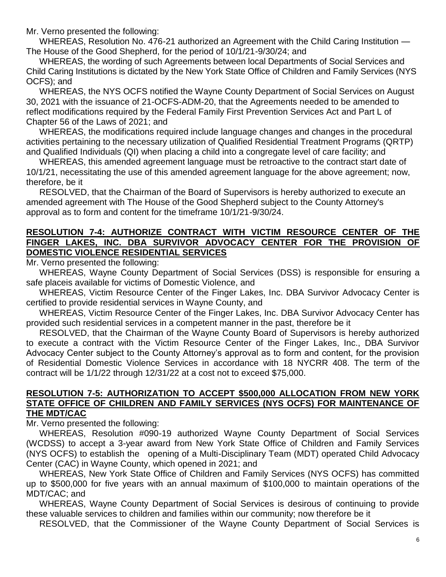Mr. Verno presented the following:

WHEREAS, Resolution No. 476-21 authorized an Agreement with the Child Caring Institution — The House of the Good Shepherd, for the period of 10/1/21-9/30/24; and

WHEREAS, the wording of such Agreements between local Departments of Social Services and Child Caring Institutions is dictated by the New York State Office of Children and Family Services (NYS OCFS); and

WHEREAS, the NYS OCFS notified the Wayne County Department of Social Services on August 30, 2021 with the issuance of 21-OCFS-ADM-20, that the Agreements needed to be amended to reflect modifications required by the Federal Family First Prevention Services Act and Part L of Chapter 56 of the Laws of 2021; and

WHEREAS, the modifications required include language changes and changes in the procedural activities pertaining to the necessary utilization of Qualified Residential Treatment Programs (QRTP) and Qualified Individuals (QI) when placing a child into a congregate level of care facility; and

WHEREAS, this amended agreement language must be retroactive to the contract start date of 10/1/21, necessitating the use of this amended agreement language for the above agreement; now, therefore, be it

RESOLVED, that the Chairman of the Board of Supervisors is hereby authorized to execute an amended agreement with The House of the Good Shepherd subject to the County Attorney's approval as to form and content for the timeframe 10/1/21-9/30/24.

## **RESOLUTION 7-4: AUTHORIZE CONTRACT WITH VICTIM RESOURCE CENTER OF THE FINGER LAKES, INC. DBA SURVIVOR ADVOCACY CENTER FOR THE PROVISION OF DOMESTIC VIOLENCE RESIDENTIAL SERVICES**

Mr. Verno presented the following:

WHEREAS, Wayne County Department of Social Services (DSS) is responsible for ensuring a safe placeis available for victims of Domestic Violence, and

WHEREAS, Victim Resource Center of the Finger Lakes, Inc. DBA Survivor Advocacy Center is certified to provide residential services in Wayne County, and

WHEREAS, Victim Resource Center of the Finger Lakes, Inc. DBA Survivor Advocacy Center has provided such residential services in a competent manner in the past, therefore be it

RESOLVED, that the Chairman of the Wayne County Board of Supervisors is hereby authorized to execute a contract with the Victim Resource Center of the Finger Lakes, Inc., DBA Survivor Advocacy Center subject to the County Attorney's approval as to form and content, for the provision of Residential Domestic Violence Services in accordance with 18 NYCRR 408. The term of the contract will be 1/1/22 through 12/31/22 at a cost not to exceed \$75,000.

#### **RESOLUTION 7-5: AUTHORIZATION TO ACCEPT \$500,000 ALLOCATION FROM NEW YORK STATE OFFICE OF CHILDREN AND FAMILY SERVICES (NYS OCFS) FOR MAINTENANCE OF THE MDT/CAC**

Mr. Verno presented the following:

WHEREAS, Resolution #090-19 authorized Wayne County Department of Social Services (WCDSS) to accept a 3-year award from New York State Office of Children and Family Services (NYS OCFS) to establish the opening of a Multi-Disciplinary Team (MDT) operated Child Advocacy Center (CAC) in Wayne County, which opened in 2021; and

WHEREAS, New York State Office of Children and Family Services (NYS OCFS) has committed up to \$500,000 for five years with an annual maximum of \$100,000 to maintain operations of the MDT/CAC; and

WHEREAS, Wayne County Department of Social Services is desirous of continuing to provide these valuable services to children and families within our community; now therefore be it

RESOLVED, that the Commissioner of the Wayne County Department of Social Services is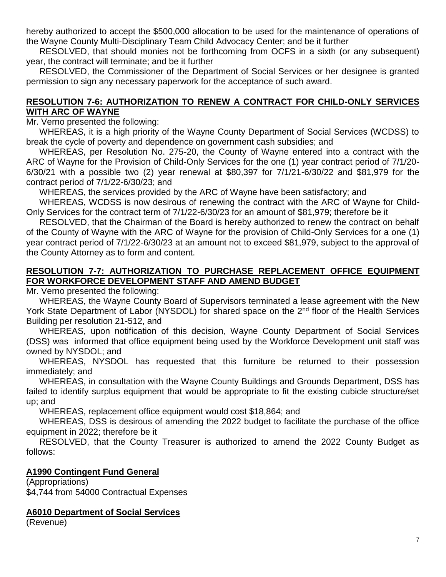hereby authorized to accept the \$500,000 allocation to be used for the maintenance of operations of the Wayne County Multi-Disciplinary Team Child Advocacy Center; and be it further

RESOLVED, that should monies not be forthcoming from OCFS in a sixth (or any subsequent) year, the contract will terminate; and be it further

RESOLVED, the Commissioner of the Department of Social Services or her designee is granted permission to sign any necessary paperwork for the acceptance of such award.

## **RESOLUTION 7-6: AUTHORIZATION TO RENEW A CONTRACT FOR CHILD-ONLY SERVICES WITH ARC OF WAYNE**

Mr. Verno presented the following:

WHEREAS, it is a high priority of the Wayne County Department of Social Services (WCDSS) to break the cycle of poverty and dependence on government cash subsidies; and

WHEREAS, per Resolution No. 275-20, the County of Wayne entered into a contract with the ARC of Wayne for the Provision of Child-Only Services for the one (1) year contract period of 7/1/20- 6/30/21 with a possible two (2) year renewal at \$80,397 for 7/1/21-6/30/22 and \$81,979 for the contract period of 7/1/22-6/30/23; and

WHEREAS, the services provided by the ARC of Wayne have been satisfactory; and

WHEREAS, WCDSS is now desirous of renewing the contract with the ARC of Wayne for Child-Only Services for the contract term of 7/1/22-6/30/23 for an amount of \$81,979; therefore be it

RESOLVED, that the Chairman of the Board is hereby authorized to renew the contract on behalf of the County of Wayne with the ARC of Wayne for the provision of Child-Only Services for a one (1) year contract period of 7/1/22-6/30/23 at an amount not to exceed \$81,979, subject to the approval of the County Attorney as to form and content.

# **RESOLUTION 7-7: AUTHORIZATION TO PURCHASE REPLACEMENT OFFICE EQUIPMENT FOR WORKFORCE DEVELOPMENT STAFF AND AMEND BUDGET**

Mr. Verno presented the following:

WHEREAS, the Wayne County Board of Supervisors terminated a lease agreement with the New York State Department of Labor (NYSDOL) for shared space on the 2<sup>nd</sup> floor of the Health Services Building per resolution 21-512, and

WHEREAS, upon notification of this decision, Wayne County Department of Social Services (DSS) was informed that office equipment being used by the Workforce Development unit staff was owned by NYSDOL; and

WHEREAS, NYSDOL has requested that this furniture be returned to their possession immediately; and

WHEREAS, in consultation with the Wayne County Buildings and Grounds Department, DSS has failed to identify surplus equipment that would be appropriate to fit the existing cubicle structure/set up; and

WHEREAS, replacement office equipment would cost \$18,864; and

WHEREAS, DSS is desirous of amending the 2022 budget to facilitate the purchase of the office equipment in 2022; therefore be it

RESOLVED, that the County Treasurer is authorized to amend the 2022 County Budget as follows:

# **A1990 Contingent Fund General**

(Appropriations) \$4,744 from 54000 Contractual Expenses

# **A6010 Department of Social Services**

(Revenue)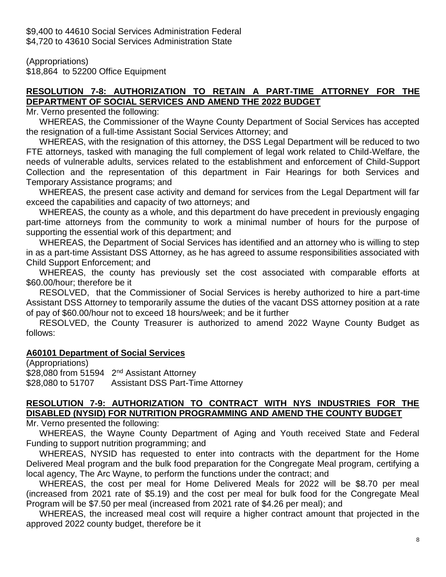\$9,400 to 44610 Social Services Administration Federal \$4,720 to 43610 Social Services Administration State

(Appropriations) \$18,864 to 52200 Office Equipment

# **RESOLUTION 7-8: AUTHORIZATION TO RETAIN A PART-TIME ATTORNEY FOR THE DEPARTMENT OF SOCIAL SERVICES AND AMEND THE 2022 BUDGET**

Mr. Verno presented the following:

WHEREAS, the Commissioner of the Wayne County Department of Social Services has accepted the resignation of a full-time Assistant Social Services Attorney; and

WHEREAS, with the resignation of this attorney, the DSS Legal Department will be reduced to two FTE attorneys, tasked with managing the full complement of legal work related to Child-Welfare, the needs of vulnerable adults, services related to the establishment and enforcement of Child-Support Collection and the representation of this department in Fair Hearings for both Services and Temporary Assistance programs; and

WHEREAS, the present case activity and demand for services from the Legal Department will far exceed the capabilities and capacity of two attorneys; and

WHEREAS, the county as a whole, and this department do have precedent in previously engaging part-time attorneys from the community to work a minimal number of hours for the purpose of supporting the essential work of this department; and

WHEREAS, the Department of Social Services has identified and an attorney who is willing to step in as a part-time Assistant DSS Attorney, as he has agreed to assume responsibilities associated with Child Support Enforcement; and

WHEREAS, the county has previously set the cost associated with comparable efforts at \$60.00/hour; therefore be it

RESOLVED, that the Commissioner of Social Services is hereby authorized to hire a part-time Assistant DSS Attorney to temporarily assume the duties of the vacant DSS attorney position at a rate of pay of \$60.00/hour not to exceed 18 hours/week; and be it further

RESOLVED, the County Treasurer is authorized to amend 2022 Wayne County Budget as follows:

# **A60101 Department of Social Services**

(Appropriations) \$28,080 from 51594 2<sup>nd</sup> Assistant Attorney \$28,080 to 51707 Assistant DSS Part-Time Attorney

## **RESOLUTION 7-9: AUTHORIZATION TO CONTRACT WITH NYS INDUSTRIES FOR THE DISABLED (NYSID) FOR NUTRITION PROGRAMMING AND AMEND THE COUNTY BUDGET**

Mr. Verno presented the following:

WHEREAS, the Wayne County Department of Aging and Youth received State and Federal Funding to support nutrition programming; and

WHEREAS, NYSID has requested to enter into contracts with the department for the Home Delivered Meal program and the bulk food preparation for the Congregate Meal program, certifying a local agency, The Arc Wayne, to perform the functions under the contract; and

WHEREAS, the cost per meal for Home Delivered Meals for 2022 will be \$8.70 per meal (increased from 2021 rate of \$5.19) and the cost per meal for bulk food for the Congregate Meal Program will be \$7.50 per meal (increased from 2021 rate of \$4.26 per meal); and

WHEREAS, the increased meal cost will require a higher contract amount that projected in the approved 2022 county budget, therefore be it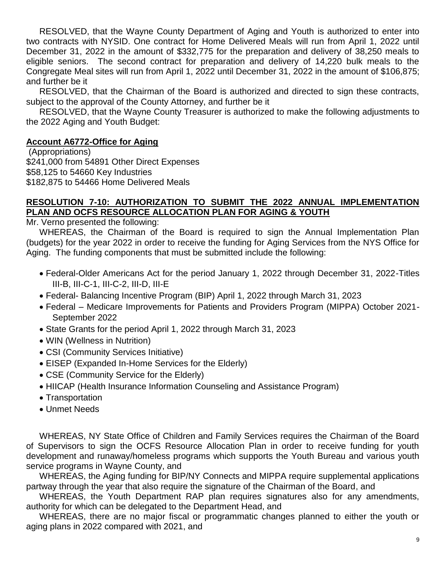RESOLVED, that the Wayne County Department of Aging and Youth is authorized to enter into two contracts with NYSID. One contract for Home Delivered Meals will run from April 1, 2022 until December 31, 2022 in the amount of \$332,775 for the preparation and delivery of 38,250 meals to eligible seniors. The second contract for preparation and delivery of 14,220 bulk meals to the Congregate Meal sites will run from April 1, 2022 until December 31, 2022 in the amount of \$106,875; and further be it

RESOLVED, that the Chairman of the Board is authorized and directed to sign these contracts, subject to the approval of the County Attorney, and further be it

RESOLVED, that the Wayne County Treasurer is authorized to make the following adjustments to the 2022 Aging and Youth Budget:

## **Account A6772-Office for Aging**

(Appropriations) \$241,000 from 54891 Other Direct Expenses \$58,125 to 54660 Key Industries \$182,875 to 54466 Home Delivered Meals

#### **RESOLUTION 7-10: AUTHORIZATION TO SUBMIT THE 2022 ANNUAL IMPLEMENTATION PLAN AND OCFS RESOURCE ALLOCATION PLAN FOR AGING & YOUTH**

Mr. Verno presented the following:

WHEREAS, the Chairman of the Board is required to sign the Annual Implementation Plan (budgets) for the year 2022 in order to receive the funding for Aging Services from the NYS Office for Aging. The funding components that must be submitted include the following:

- Federal-Older Americans Act for the period January 1, 2022 through December 31, 2022-Titles III-B, III-C-1, III-C-2, III-D, III-E
- Federal- Balancing Incentive Program (BIP) April 1, 2022 through March 31, 2023
- Federal Medicare Improvements for Patients and Providers Program (MIPPA) October 2021- September 2022
- State Grants for the period April 1, 2022 through March 31, 2023
- WIN (Wellness in Nutrition)
- CSI (Community Services Initiative)
- EISEP (Expanded In-Home Services for the Elderly)
- CSE (Community Service for the Elderly)
- HIICAP (Health Insurance Information Counseling and Assistance Program)
- Transportation
- Unmet Needs

WHEREAS, NY State Office of Children and Family Services requires the Chairman of the Board of Supervisors to sign the OCFS Resource Allocation Plan in order to receive funding for youth development and runaway/homeless programs which supports the Youth Bureau and various youth service programs in Wayne County, and

WHEREAS, the Aging funding for BIP/NY Connects and MIPPA require supplemental applications partway through the year that also require the signature of the Chairman of the Board, and

WHEREAS, the Youth Department RAP plan requires signatures also for any amendments, authority for which can be delegated to the Department Head, and

WHEREAS, there are no major fiscal or programmatic changes planned to either the youth or aging plans in 2022 compared with 2021, and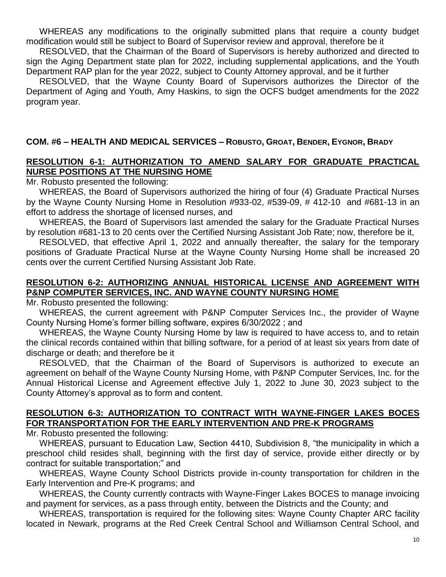WHEREAS any modifications to the originally submitted plans that require a county budget modification would still be subject to Board of Supervisor review and approval, therefore be it

RESOLVED, that the Chairman of the Board of Supervisors is hereby authorized and directed to sign the Aging Department state plan for 2022, including supplemental applications, and the Youth Department RAP plan for the year 2022, subject to County Attorney approval, and be it further

RESOLVED, that the Wayne County Board of Supervisors authorizes the Director of the Department of Aging and Youth, Amy Haskins, to sign the OCFS budget amendments for the 2022 program year.

# **COM. #6 – HEALTH AND MEDICAL SERVICES – ROBUSTO, GROAT, BENDER, EYGNOR, BRADY**

## **RESOLUTION 6-1: AUTHORIZATION TO AMEND SALARY FOR GRADUATE PRACTICAL NURSE POSITIONS AT THE NURSING HOME**

Mr. Robusto presented the following:

WHEREAS, the Board of Supervisors authorized the hiring of four (4) Graduate Practical Nurses by the Wayne County Nursing Home in Resolution #933-02, #539-09, # 412-10 and #681-13 in an effort to address the shortage of licensed nurses, and

WHEREAS, the Board of Supervisors last amended the salary for the Graduate Practical Nurses by resolution #681-13 to 20 cents over the Certified Nursing Assistant Job Rate; now, therefore be it,

RESOLVED, that effective April 1, 2022 and annually thereafter, the salary for the temporary positions of Graduate Practical Nurse at the Wayne County Nursing Home shall be increased 20 cents over the current Certified Nursing Assistant Job Rate.

# **RESOLUTION 6-2: AUTHORIZING ANNUAL HISTORICAL LICENSE AND AGREEMENT WITH P&NP COMPUTER SERVICES, INC. AND WAYNE COUNTY NURSING HOME**

Mr. Robusto presented the following:

WHEREAS, the current agreement with P&NP Computer Services Inc., the provider of Wayne County Nursing Home's former billing software, expires 6/30/2022 ; and

WHEREAS, the Wayne County Nursing Home by law is required to have access to, and to retain the clinical records contained within that billing software, for a period of at least six years from date of discharge or death; and therefore be it

RESOLVED, that the Chairman of the Board of Supervisors is authorized to execute an agreement on behalf of the Wayne County Nursing Home, with P&NP Computer Services, Inc. for the Annual Historical License and Agreement effective July 1, 2022 to June 30, 2023 subject to the County Attorney's approval as to form and content.

## **RESOLUTION 6-3: AUTHORIZATION TO CONTRACT WITH WAYNE-FINGER LAKES BOCES FOR TRANSPORTATION FOR THE EARLY INTERVENTION AND PRE-K PROGRAMS**

Mr. Robusto presented the following:

WHEREAS, pursuant to Education Law, Section 4410, Subdivision 8, "the municipality in which a preschool child resides shall, beginning with the first day of service, provide either directly or by contract for suitable transportation;" and

WHEREAS, Wayne County School Districts provide in-county transportation for children in the Early Intervention and Pre-K programs; and

WHEREAS, the County currently contracts with Wayne-Finger Lakes BOCES to manage invoicing and payment for services, as a pass through entity, between the Districts and the County; and

WHEREAS, transportation is required for the following sites: Wayne County Chapter ARC facility located in Newark, programs at the Red Creek Central School and Williamson Central School, and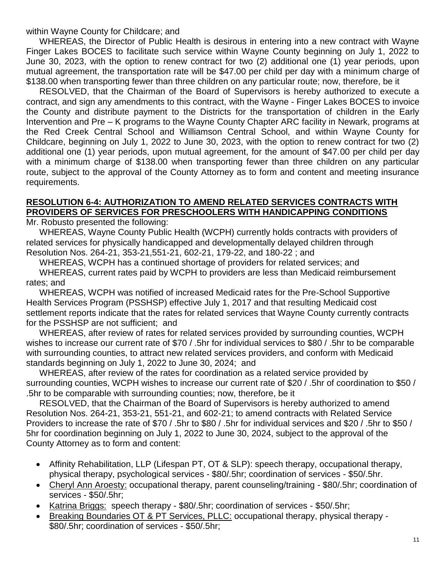within Wayne County for Childcare; and

WHEREAS, the Director of Public Health is desirous in entering into a new contract with Wayne Finger Lakes BOCES to facilitate such service within Wayne County beginning on July 1, 2022 to June 30, 2023, with the option to renew contract for two (2) additional one (1) year periods, upon mutual agreement, the transportation rate will be \$47.00 per child per day with a minimum charge of \$138.00 when transporting fewer than three children on any particular route; now, therefore, be it

RESOLVED, that the Chairman of the Board of Supervisors is hereby authorized to execute a contract, and sign any amendments to this contract, with the Wayne - Finger Lakes BOCES to invoice the County and distribute payment to the Districts for the transportation of children in the Early Intervention and Pre – K programs to the Wayne County Chapter ARC facility in Newark, programs at the Red Creek Central School and Williamson Central School, and within Wayne County for Childcare, beginning on July 1, 2022 to June 30, 2023, with the option to renew contract for two (2) additional one (1) year periods, upon mutual agreement, for the amount of \$47.00 per child per day with a minimum charge of \$138.00 when transporting fewer than three children on any particular route, subject to the approval of the County Attorney as to form and content and meeting insurance requirements.

## **RESOLUTION 6-4: AUTHORIZATION TO AMEND RELATED SERVICES CONTRACTS WITH PROVIDERS OF SERVICES FOR PRESCHOOLERS WITH HANDICAPPING CONDITIONS**

Mr. Robusto presented the following:

WHEREAS, Wayne County Public Health (WCPH) currently holds contracts with providers of related services for physically handicapped and developmentally delayed children through Resolution Nos. 264-21, 353-21,551-21, 602-21, 179-22, and 180-22 ; and

WHEREAS, WCPH has a continued shortage of providers for related services; and

WHEREAS, current rates paid by WCPH to providers are less than Medicaid reimbursement rates; and

WHEREAS, WCPH was notified of increased Medicaid rates for the Pre-School Supportive Health Services Program (PSSHSP) effective July 1, 2017 and that resulting Medicaid cost settlement reports indicate that the rates for related services that Wayne County currently contracts for the PSSHSP are not sufficient; and

WHEREAS, after review of rates for related services provided by surrounding counties, WCPH wishes to increase our current rate of \$70 / .5hr for individual services to \$80 / .5hr to be comparable with surrounding counties, to attract new related services providers, and conform with Medicaid standards beginning on July 1, 2022 to June 30, 2024; and

WHEREAS, after review of the rates for coordination as a related service provided by surrounding counties, WCPH wishes to increase our current rate of \$20 / .5hr of coordination to \$50 / .5hr to be comparable with surrounding counties; now, therefore, be it

RESOLVED, that the Chairman of the Board of Supervisors is hereby authorized to amend Resolution Nos. 264-21, 353-21, 551-21, and 602-21; to amend contracts with Related Service Providers to increase the rate of \$70 / .5hr to \$80 / .5hr for individual services and \$20 / .5hr to \$50 / 5hr for coordination beginning on July 1, 2022 to June 30, 2024, subject to the approval of the County Attorney as to form and content:

- Affinity Rehabilitation, LLP (Lifespan PT, OT & SLP): speech therapy, occupational therapy, physical therapy, psychological services - \$80/.5hr; coordination of services - \$50/.5hr.
- Cheryl Ann Aroesty: occupational therapy, parent counseling/training \$80/.5hr; coordination of services - \$50/.5hr;
- Katrina Briggs: speech therapy \$80/.5hr; coordination of services \$50/.5hr;
- Breaking Boundaries OT & PT Services, PLLC: occupational therapy, physical therapy \$80/.5hr; coordination of services - \$50/.5hr;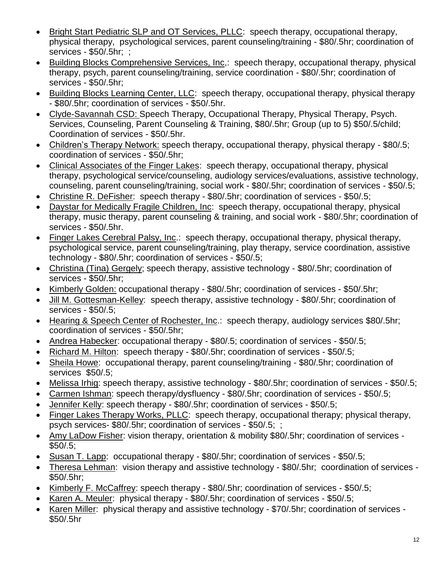- Bright Start Pediatric SLP and OT Services, PLLC: speech therapy, occupational therapy, physical therapy, psychological services, parent counseling/training - \$80/.5hr; coordination of services - \$50/.5hr; ;
- Building Blocks Comprehensive Services, Inc,: speech therapy, occupational therapy, physical therapy, psych, parent counseling/training, service coordination - \$80/.5hr; coordination of services - \$50/.5hr;
- Building Blocks Learning Center, LLC: speech therapy, occupational therapy, physical therapy - \$80/.5hr; coordination of services - \$50/.5hr.
- Clyde-Savannah CSD: Speech Therapy, Occupational Therapy, Physical Therapy, Psych. Services, Counseling, Parent Counseling & Training, \$80/.5hr; Group (up to 5) \$50/.5/child; Coordination of services - \$50/.5hr.
- Children's Therapy Network: speech therapy, occupational therapy, physical therapy \$80/.5; coordination of services - \$50/.5hr;
- Clinical Associates of the Finger Lakes: speech therapy, occupational therapy, physical therapy, psychological service/counseling, audiology services/evaluations, assistive technology, counseling, parent counseling/training, social work - \$80/.5hr; coordination of services - \$50/.5;
- Christine R. DeFisher: speech therapy \$80/.5hr; coordination of services \$50/.5;
- Daystar for Medically Fragile Children, Inc: speech therapy, occupational therapy, physical therapy, music therapy, parent counseling & training, and social work - \$80/.5hr; coordination of services - \$50/.5hr.
- Finger Lakes Cerebral Palsy, Inc.: speech therapy, occupational therapy, physical therapy, psychological service, parent counseling/training, play therapy, service coordination, assistive technology - \$80/.5hr; coordination of services - \$50/.5;
- Christina (Tina) Gergely; speech therapy, assistive technology \$80/.5hr; coordination of services - \$50/.5hr;
- Kimberly Golden: occupational therapy \$80/.5hr; coordination of services \$50/.5hr;
- Jill M. Gottesman-Kelley: speech therapy, assistive technology \$80/.5hr; coordination of services - \$50/.5;
- Hearing & Speech Center of Rochester, Inc.: speech therapy, audiology services \$80/.5hr; coordination of services - \$50/.5hr;
- Andrea Habecker: occupational therapy \$80/.5; coordination of services \$50/.5;
- Richard M. Hilton: speech therapy \$80/.5hr; coordination of services \$50/.5;
- Sheila Howe: occupational therapy, parent counseling/training \$80/.5hr; coordination of services \$50/.5;
- Melissa Irhig: speech therapy, assistive technology \$80/.5hr; coordination of services \$50/.5;
- Carmen Ishman: speech therapy/dysfluency \$80/.5hr; coordination of services \$50/.5;
- Jennifer Kelly: speech therapy \$80/.5hr; coordination of services \$50/.5;
- Finger Lakes Therapy Works, PLLC: speech therapy, occupational therapy; physical therapy, psych services- \$80/.5hr; coordination of services - \$50/.5; ;
- Amy LaDow Fisher: vision therapy, orientation & mobility \$80/.5hr; coordination of services  $$50/.5$ ;
- Susan T. Lapp: occupational therapy \$80/.5hr; coordination of services \$50/.5;
- Theresa Lehman: vision therapy and assistive technology \$80/.5hr; coordination of services \$50/.5hr;
- Kimberly F. McCaffrey: speech therapy \$80/.5hr; coordination of services \$50/.5;
- Karen A. Meuler: physical therapy \$80/.5hr; coordination of services \$50/.5;
- Karen Miller: physical therapy and assistive technology \$70/.5hr; coordination of services -\$50/.5hr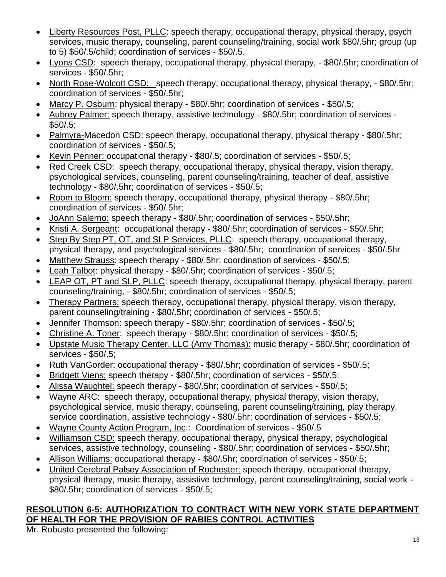- Liberty Resources Post, PLLC: speech therapy, occupational therapy, physical therapy, psych services, music therapy, counseling, parent counseling/training, social work \$80/.5hr; group (up to 5) \$50/.5/child; coordination of services - \$50/.5.
- Lyons CSD: speech therapy, occupational therapy, physical therapy, \$80/.5hr; coordination of services - \$50/.5hr;
- North Rose-Wolcott CSD: speech therapy, occupational therapy, physical therapy, \$80/.5hr; coordination of services - \$50/.5hr;
- Marcy P. Osburn: physical therapy \$80/.5hr; coordination of services \$50/.5;
- Aubrey Palmer: speech therapy, assistive technology \$80/.5hr; coordination of services \$50/.5;
- Palmyra-Macedon CSD: speech therapy, occupational therapy, physical therapy \$80/.5hr; coordination of services - \$50/.5;
- Kevin Penner: occupational therapy \$80/.5; coordination of services \$50/.5;
- Red Creek CSD: speech therapy, occupational therapy, physical therapy, vision therapy, psychological services, counseling, parent counseling/training, teacher of deaf, assistive technology - \$80/.5hr; coordination of services - \$50/.5;
- Room to Bloom: speech therapy, occupational therapy, physical therapy \$80/.5hr; coordination of services - \$50/.5hr;
- JoAnn Salerno: speech therapy \$80/.5hr; coordination of services \$50/.5hr;
- Kristi A. Sergeant: occupational therapy \$80/.5hr; coordination of services \$50/.5hr;
- Step By Step PT, OT, and SLP Services, PLLC: speech therapy, occupational therapy, physical therapy, and psychological services - \$80/.5hr; coordination of services - \$50/.5hr
- Matthew Strauss: speech therapy \$80/.5hr; coordination of services \$50/.5;
- Leah Talbot: physical therapy \$80/.5hr; coordination of services \$50/.5;
- LEAP OT, PT and SLP, PLLC: speech therapy, occupational therapy, physical therapy, parent counseling/training, - \$80/.5hr; coordination of services - \$50/.5;
- Therapy Partners: speech therapy, occupational therapy, physical therapy, vision therapy, parent counseling/training - \$80/.5hr; coordination of services - \$50/.5;
- Jennifer Thomson: speech therapy \$80/.5hr; coordination of services \$50/.5;
- Christine A. Toner: speech therapy \$80/.5hr; coordination of services \$50/.5;
- Upstate Music Therapy Center, LLC (Amy Thomas): music therapy \$80/.5hr; coordination of services - \$50/.5;
- Ruth VanGorder: occupational therapy \$80/.5hr; coordination of services \$50/.5;
- **Bridgett Viens: speech therapy \$80/.5hr; coordination of services \$50/.5;**
- Alissa Waughtel: speech therapy \$80/.5hr; coordination of services \$50/.5;
- Wayne ARC: speech therapy, occupational therapy, physical therapy, vision therapy, psychological service, music therapy, counseling, parent counseling/training, play therapy, service coordination, assistive technology - \$80/.5hr; coordination of services - \$50/.5;
- Wayne County Action Program, Inc.: Coordination of services \$50/.5
- Williamson CSD: speech therapy, occupational therapy, physical therapy, psychological services, assistive technology, counseling - \$80/.5hr; coordination of services - \$50/.5hr;
- Allison Williams: occupational therapy \$80/.5hr; coordination of services \$50/.5;
- United Cerebral Palsey Association of Rochester: speech therapy, occupational therapy, physical therapy, music therapy, assistive technology, parent counseling/training, social work - \$80/.5hr; coordination of services - \$50/.5;

# **RESOLUTION 6-5: AUTHORIZATION TO CONTRACT WITH NEW YORK STATE DEPARTMENT OF HEALTH FOR THE PROVISION OF RABIES CONTROL ACTIVITIES**

Mr. Robusto presented the following: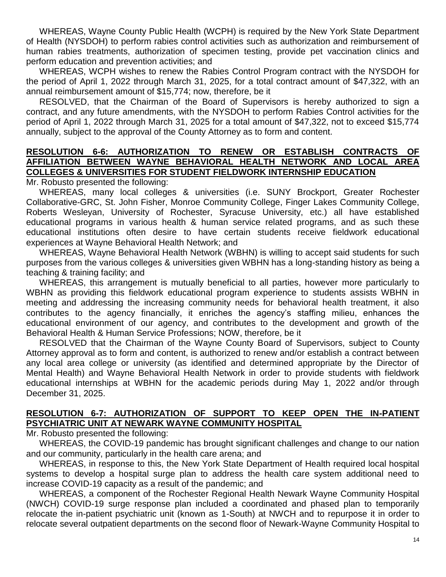WHEREAS, Wayne County Public Health (WCPH) is required by the New York State Department of Health (NYSDOH) to perform rabies control activities such as authorization and reimbursement of human rabies treatments, authorization of specimen testing, provide pet vaccination clinics and perform education and prevention activities; and

WHEREAS, WCPH wishes to renew the Rabies Control Program contract with the NYSDOH for the period of April 1, 2022 through March 31, 2025, for a total contract amount of \$47,322, with an annual reimbursement amount of \$15,774; now, therefore, be it

RESOLVED, that the Chairman of the Board of Supervisors is hereby authorized to sign a contract, and any future amendments, with the NYSDOH to perform Rabies Control activities for the period of April 1, 2022 through March 31, 2025 for a total amount of \$47,322, not to exceed \$15,774 annually, subject to the approval of the County Attorney as to form and content.

#### **RESOLUTION 6-6: AUTHORIZATION TO RENEW OR ESTABLISH CONTRACTS OF AFFILIATION BETWEEN WAYNE BEHAVIORAL HEALTH NETWORK AND LOCAL AREA COLLEGES & UNIVERSITIES FOR STUDENT FIELDWORK INTERNSHIP EDUCATION**

Mr. Robusto presented the following:

WHEREAS, many local colleges & universities (i.e. SUNY Brockport, Greater Rochester Collaborative-GRC, St. John Fisher, Monroe Community College, Finger Lakes Community College, Roberts Wesleyan, University of Rochester, Syracuse University, etc.) all have established educational programs in various health & human service related programs, and as such these educational institutions often desire to have certain students receive fieldwork educational experiences at Wayne Behavioral Health Network; and

WHEREAS, Wayne Behavioral Health Network (WBHN) is willing to accept said students for such purposes from the various colleges & universities given WBHN has a long-standing history as being a teaching & training facility; and

WHEREAS, this arrangement is mutually beneficial to all parties, however more particularly to WBHN as providing this fieldwork educational program experience to students assists WBHN in meeting and addressing the increasing community needs for behavioral health treatment, it also contributes to the agency financially, it enriches the agency's staffing milieu, enhances the educational environment of our agency, and contributes to the development and growth of the Behavioral Health & Human Service Professions; NOW, therefore, be it

RESOLVED that the Chairman of the Wayne County Board of Supervisors, subject to County Attorney approval as to form and content, is authorized to renew and/or establish a contract between any local area college or university (as identified and determined appropriate by the Director of Mental Health) and Wayne Behavioral Health Network in order to provide students with fieldwork educational internships at WBHN for the academic periods during May 1, 2022 and/or through December 31, 2025.

# **RESOLUTION 6-7: AUTHORIZATION OF SUPPORT TO KEEP OPEN THE IN-PATIENT PSYCHIATRIC UNIT AT NEWARK WAYNE COMMUNITY HOSPITAL**

Mr. Robusto presented the following:

WHEREAS, the COVID-19 pandemic has brought significant challenges and change to our nation and our community, particularly in the health care arena; and

WHEREAS, in response to this, the New York State Department of Health required local hospital systems to develop a hospital surge plan to address the health care system additional need to increase COVID-19 capacity as a result of the pandemic; and

WHEREAS, a component of the Rochester Regional Health Newark Wayne Community Hospital (NWCH) COVID-19 surge response plan included a coordinated and phased plan to temporarily relocate the in-patient psychiatric unit (known as 1-South) at NWCH and to repurpose it in order to relocate several outpatient departments on the second floor of Newark-Wayne Community Hospital to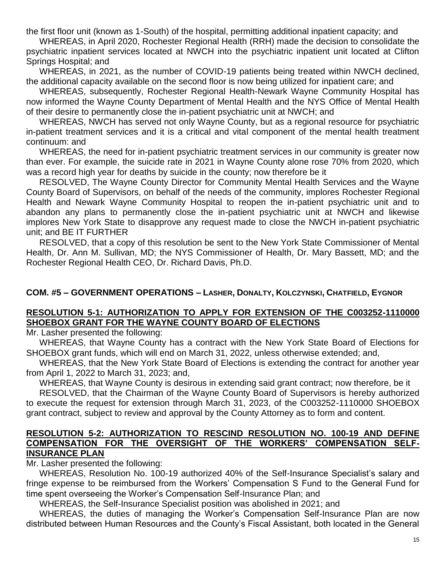the first floor unit (known as 1-South) of the hospital, permitting additional inpatient capacity; and

WHEREAS, in April 2020, Rochester Regional Health (RRH) made the decision to consolidate the psychiatric inpatient services located at NWCH into the psychiatric inpatient unit located at Clifton Springs Hospital; and

WHEREAS, in 2021, as the number of COVID-19 patients being treated within NWCH declined, the additional capacity available on the second floor is now being utilized for inpatient care; and

WHEREAS, subsequently, Rochester Regional Health-Newark Wayne Community Hospital has now informed the Wayne County Department of Mental Health and the NYS Office of Mental Health of their desire to permanently close the in-patient psychiatric unit at NWCH; and

WHEREAS, NWCH has served not only Wayne County, but as a regional resource for psychiatric in-patient treatment services and it is a critical and vital component of the mental health treatment continuum: and

WHEREAS, the need for in-patient psychiatric treatment services in our community is greater now than ever. For example, the suicide rate in 2021 in Wayne County alone rose 70% from 2020, which was a record high year for deaths by suicide in the county; now therefore be it

RESOLVED, The Wayne County Director for Community Mental Health Services and the Wayne County Board of Supervisors, on behalf of the needs of the community, implores Rochester Regional Health and Newark Wayne Community Hospital to reopen the in-patient psychiatric unit and to abandon any plans to permanently close the in-patient psychiatric unit at NWCH and likewise implores New York State to disapprove any request made to close the NWCH in-patient psychiatric unit; and BE IT FURTHER

RESOLVED, that a copy of this resolution be sent to the New York State Commissioner of Mental Health, Dr. Ann M. Sullivan, MD; the NYS Commissioner of Health, Dr. Mary Bassett, MD; and the Rochester Regional Health CEO, Dr. Richard Davis, Ph.D.

#### **COM. #5 – GOVERNMENT OPERATIONS – LASHER, DONALTY, KOLCZYNSKI, CHATFIELD, EYGNOR**

#### **RESOLUTION 5-1: AUTHORIZATION TO APPLY FOR EXTENSION OF THE C003252-1110000 SHOEBOX GRANT FOR THE WAYNE COUNTY BOARD OF ELECTIONS**

Mr. Lasher presented the following:

WHEREAS, that Wayne County has a contract with the New York State Board of Elections for SHOEBOX grant funds, which will end on March 31, 2022, unless otherwise extended; and,

WHEREAS, that the New York State Board of Elections is extending the contract for another year from April 1, 2022 to March 31, 2023; and,

WHEREAS, that Wayne County is desirous in extending said grant contract; now therefore, be it

RESOLVED, that the Chairman of the Wayne County Board of Supervisors is hereby authorized to execute the request for extension through March 31, 2023, of the C003252-1110000 SHOEBOX grant contract, subject to review and approval by the County Attorney as to form and content.

#### **RESOLUTION 5-2: AUTHORIZATION TO RESCIND RESOLUTION NO. 100-19 AND DEFINE COMPENSATION FOR THE OVERSIGHT OF THE WORKERS' COMPENSATION SELF-INSURANCE PLAN**

Mr. Lasher presented the following:

WHEREAS, Resolution No. 100-19 authorized 40% of the Self-Insurance Specialist's salary and fringe expense to be reimbursed from the Workers' Compensation S Fund to the General Fund for time spent overseeing the Worker's Compensation Self-Insurance Plan; and

WHEREAS, the Self-Insurance Specialist position was abolished in 2021; and

WHEREAS, the duties of managing the Worker's Compensation Self-Insurance Plan are now distributed between Human Resources and the County's Fiscal Assistant, both located in the General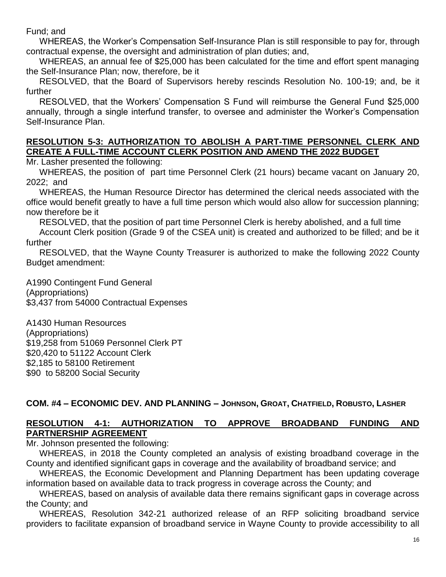Fund; and

WHEREAS, the Worker's Compensation Self-Insurance Plan is still responsible to pay for, through contractual expense, the oversight and administration of plan duties; and,

WHEREAS, an annual fee of \$25,000 has been calculated for the time and effort spent managing the Self-Insurance Plan; now, therefore, be it

RESOLVED, that the Board of Supervisors hereby rescinds Resolution No. 100-19; and, be it further

RESOLVED, that the Workers' Compensation S Fund will reimburse the General Fund \$25,000 annually, through a single interfund transfer, to oversee and administer the Worker's Compensation Self-Insurance Plan.

# **RESOLUTION 5-3: AUTHORIZATION TO ABOLISH A PART-TIME PERSONNEL CLERK AND CREATE A FULL-TIME ACCOUNT CLERK POSITION AND AMEND THE 2022 BUDGET**

Mr. Lasher presented the following:

WHEREAS, the position of part time Personnel Clerk (21 hours) became vacant on January 20, 2022; and

WHEREAS, the Human Resource Director has determined the clerical needs associated with the office would benefit greatly to have a full time person which would also allow for succession planning; now therefore be it

RESOLVED, that the position of part time Personnel Clerk is hereby abolished, and a full time

Account Clerk position (Grade 9 of the CSEA unit) is created and authorized to be filled; and be it further

RESOLVED, that the Wayne County Treasurer is authorized to make the following 2022 County Budget amendment:

A1990 Contingent Fund General (Appropriations) \$3,437 from 54000 Contractual Expenses

A1430 Human Resources (Appropriations) \$19,258 from 51069 Personnel Clerk PT \$20,420 to 51122 Account Clerk \$2,185 to 58100 Retirement \$90 to 58200 Social Security

# **COM. #4 – ECONOMIC DEV. AND PLANNING – JOHNSON, GROAT, CHATFIELD, ROBUSTO, LASHER**

# **RESOLUTION 4-1: AUTHORIZATION TO APPROVE BROADBAND FUNDING AND PARTNERSHIP AGREEMENT**

Mr. Johnson presented the following:

WHEREAS, in 2018 the County completed an analysis of existing broadband coverage in the County and identified significant gaps in coverage and the availability of broadband service; and

WHEREAS, the Economic Development and Planning Department has been updating coverage information based on available data to track progress in coverage across the County; and

WHEREAS, based on analysis of available data there remains significant gaps in coverage across the County; and

WHEREAS, Resolution 342-21 authorized release of an RFP soliciting broadband service providers to facilitate expansion of broadband service in Wayne County to provide accessibility to all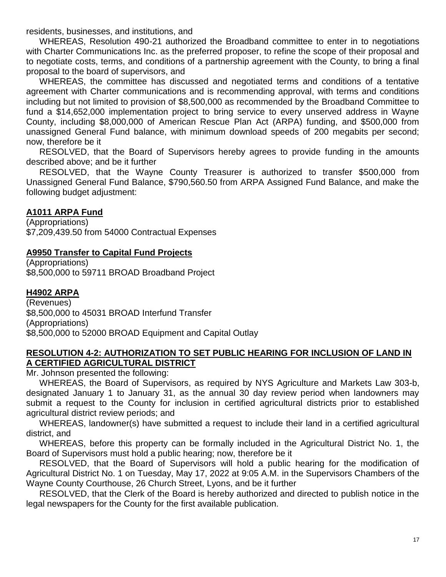residents, businesses, and institutions, and

WHEREAS, Resolution 490-21 authorized the Broadband committee to enter in to negotiations with Charter Communications Inc. as the preferred proposer, to refine the scope of their proposal and to negotiate costs, terms, and conditions of a partnership agreement with the County, to bring a final proposal to the board of supervisors, and

WHEREAS, the committee has discussed and negotiated terms and conditions of a tentative agreement with Charter communications and is recommending approval, with terms and conditions including but not limited to provision of \$8,500,000 as recommended by the Broadband Committee to fund a \$14,652,000 implementation project to bring service to every unserved address in Wayne County, including \$8,000,000 of American Rescue Plan Act (ARPA) funding, and \$500,000 from unassigned General Fund balance, with minimum download speeds of 200 megabits per second; now, therefore be it

RESOLVED, that the Board of Supervisors hereby agrees to provide funding in the amounts described above; and be it further

RESOLVED, that the Wayne County Treasurer is authorized to transfer \$500,000 from Unassigned General Fund Balance, \$790,560.50 from ARPA Assigned Fund Balance, and make the following budget adjustment:

## **A1011 ARPA Fund**

(Appropriations) \$7,209,439.50 from 54000 Contractual Expenses

## **A9950 Transfer to Capital Fund Projects**

(Appropriations) \$8,500,000 to 59711 BROAD Broadband Project

#### **H4902 ARPA**

(Revenues) \$8,500,000 to 45031 BROAD Interfund Transfer (Appropriations) \$8,500,000 to 52000 BROAD Equipment and Capital Outlay

#### **RESOLUTION 4-2: AUTHORIZATION TO SET PUBLIC HEARING FOR INCLUSION OF LAND IN A CERTIFIED AGRICULTURAL DISTRICT**

Mr. Johnson presented the following:

WHEREAS, the Board of Supervisors, as required by NYS Agriculture and Markets Law 303-b, designated January 1 to January 31, as the annual 30 day review period when landowners may submit a request to the County for inclusion in certified agricultural districts prior to established agricultural district review periods; and

WHEREAS, landowner(s) have submitted a request to include their land in a certified agricultural district, and

WHEREAS, before this property can be formally included in the Agricultural District No. 1, the Board of Supervisors must hold a public hearing; now, therefore be it

RESOLVED, that the Board of Supervisors will hold a public hearing for the modification of Agricultural District No. 1 on Tuesday, May 17, 2022 at 9:05 A.M. in the Supervisors Chambers of the Wayne County Courthouse, 26 Church Street, Lyons, and be it further

RESOLVED, that the Clerk of the Board is hereby authorized and directed to publish notice in the legal newspapers for the County for the first available publication.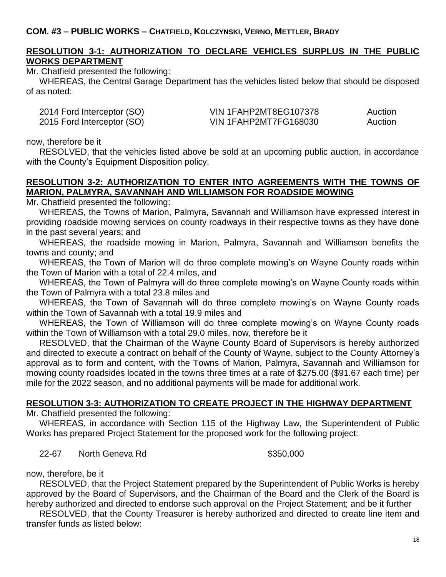# **RESOLUTION 3-1: AUTHORIZATION TO DECLARE VEHICLES SURPLUS IN THE PUBLIC WORKS DEPARTMENT**

Mr. Chatfield presented the following:

WHEREAS, the Central Garage Department has the vehicles listed below that should be disposed of as noted:

| 2014 Ford Interceptor (SO) | VIN 1FAHP2MT8EG107378 | Auction |
|----------------------------|-----------------------|---------|
| 2015 Ford Interceptor (SO) | VIN 1FAHP2MT7FG168030 | Auction |

now, therefore be it

RESOLVED, that the vehicles listed above be sold at an upcoming public auction, in accordance with the County's Equipment Disposition policy.

# **RESOLUTION 3-2: AUTHORIZATION TO ENTER INTO AGREEMENTS WITH THE TOWNS OF MARION, PALMYRA, SAVANNAH AND WILLIAMSON FOR ROADSIDE MOWING**

Mr. Chatfield presented the following:

WHEREAS, the Towns of Marion, Palmyra, Savannah and Williamson have expressed interest in providing roadside mowing services on county roadways in their respective towns as they have done in the past several years; and

WHEREAS, the roadside mowing in Marion, Palmyra, Savannah and Williamson benefits the towns and county; and

WHEREAS, the Town of Marion will do three complete mowing's on Wayne County roads within the Town of Marion with a total of 22.4 miles, and

WHEREAS, the Town of Palmyra will do three complete mowing's on Wayne County roads within the Town of Palmyra with a total 23.8 miles and

WHEREAS, the Town of Savannah will do three complete mowing's on Wayne County roads within the Town of Savannah with a total 19.9 miles and

WHEREAS, the Town of Williamson will do three complete mowing's on Wayne County roads within the Town of Williamson with a total 29.0 miles, now, therefore be it

RESOLVED, that the Chairman of the Wayne County Board of Supervisors is hereby authorized and directed to execute a contract on behalf of the County of Wayne, subject to the County Attorney's approval as to form and content, with the Towns of Marion, Palmyra, Savannah and Williamson for mowing county roadsides located in the towns three times at a rate of \$275.00 (\$91.67 each time) per mile for the 2022 season, and no additional payments will be made for additional work.

#### **RESOLUTION 3-3: AUTHORIZATION TO CREATE PROJECT IN THE HIGHWAY DEPARTMENT**

Mr. Chatfield presented the following:

WHEREAS, in accordance with Section 115 of the Highway Law, the Superintendent of Public Works has prepared Project Statement for the proposed work for the following project:

22-67 North Geneva Rd \$350,000

now, therefore, be it

RESOLVED, that the Project Statement prepared by the Superintendent of Public Works is hereby approved by the Board of Supervisors, and the Chairman of the Board and the Clerk of the Board is hereby authorized and directed to endorse such approval on the Project Statement; and be it further

RESOLVED, that the County Treasurer is hereby authorized and directed to create line item and transfer funds as listed below: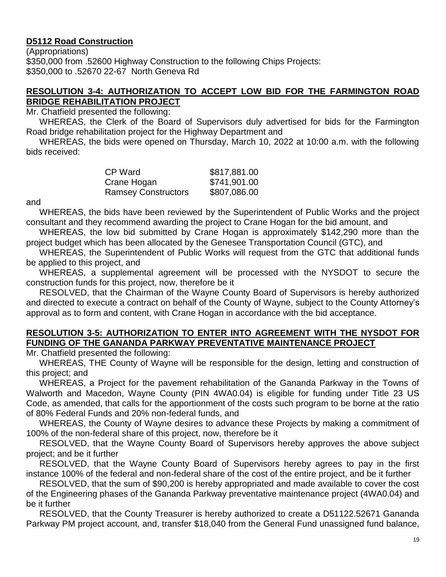# **D5112 Road Construction**

(Appropriations) \$350,000 from .52600 Highway Construction to the following Chips Projects: \$350,000 to .52670 22-67 North Geneva Rd

# **RESOLUTION 3-4: AUTHORIZATION TO ACCEPT LOW BID FOR THE FARMINGTON ROAD BRIDGE REHABILITATION PROJECT**

Mr. Chatfield presented the following:

WHEREAS, the Clerk of the Board of Supervisors duly advertised for bids for the Farmington Road bridge rehabilitation project for the Highway Department and

WHEREAS, the bids were opened on Thursday, March 10, 2022 at 10:00 a.m. with the following bids received:

| CP Ward                    | \$817,881.00 |
|----------------------------|--------------|
| Crane Hogan                | \$741,901.00 |
| <b>Ramsey Constructors</b> | \$807,086.00 |

and

WHEREAS, the bids have been reviewed by the Superintendent of Public Works and the project consultant and they recommend awarding the project to Crane Hogan for the bid amount, and

WHEREAS, the low bid submitted by Crane Hogan is approximately \$142,290 more than the project budget which has been allocated by the Genesee Transportation Council (GTC), and

WHEREAS, the Superintendent of Public Works will request from the GTC that additional funds be applied to this project, and

WHEREAS, a supplemental agreement will be processed with the NYSDOT to secure the construction funds for this project, now, therefore be it

RESOLVED, that the Chairman of the Wayne County Board of Supervisors is hereby authorized and directed to execute a contract on behalf of the County of Wayne, subject to the County Attorney's approval as to form and content, with Crane Hogan in accordance with the bid acceptance.

#### **RESOLUTION 3-5: AUTHORIZATION TO ENTER INTO AGREEMENT WITH THE NYSDOT FOR FUNDING OF THE GANANDA PARKWAY PREVENTATIVE MAINTENANCE PROJECT**

Mr. Chatfield presented the following:

WHEREAS, THE County of Wayne will be responsible for the design, letting and construction of this project; and

WHEREAS, a Project for the pavement rehabilitation of the Gananda Parkway in the Towns of Walworth and Macedon, Wayne County (PIN 4WA0.04) is eligible for funding under Title 23 US Code, as amended, that calls for the apportionment of the costs such program to be borne at the ratio of 80% Federal Funds and 20% non-federal funds, and

WHEREAS, the County of Wayne desires to advance these Projects by making a commitment of 100% of the non-federal share of this project, now, therefore be it

RESOLVED, that the Wayne County Board of Supervisors hereby approves the above subject project; and be it further

RESOLVED, that the Wayne County Board of Supervisors hereby agrees to pay in the first instance 100% of the federal and non-federal share of the cost of the entire project, and be it further

RESOLVED, that the sum of \$90,200 is hereby appropriated and made available to cover the cost of the Engineering phases of the Gananda Parkway preventative maintenance project (4WA0.04) and be it further

RESOLVED, that the County Treasurer is hereby authorized to create a D51122.52671 Gananda Parkway PM project account, and, transfer \$18,040 from the General Fund unassigned fund balance,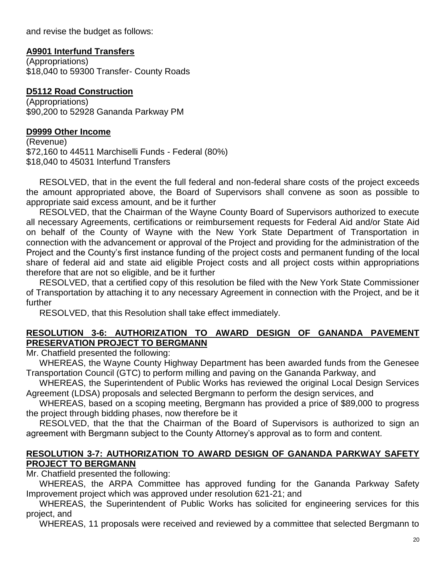and revise the budget as follows:

## **A9901 Interfund Transfers**

(Appropriations) \$18,040 to 59300 Transfer- County Roads

## **D5112 Road Construction**

(Appropriations) \$90,200 to 52928 Gananda Parkway PM

#### **D9999 Other Income**

(Revenue) \$72,160 to 44511 Marchiselli Funds - Federal (80%) \$18,040 to 45031 Interfund Transfers

RESOLVED, that in the event the full federal and non-federal share costs of the project exceeds the amount appropriated above, the Board of Supervisors shall convene as soon as possible to appropriate said excess amount, and be it further

RESOLVED, that the Chairman of the Wayne County Board of Supervisors authorized to execute all necessary Agreements, certifications or reimbursement requests for Federal Aid and/or State Aid on behalf of the County of Wayne with the New York State Department of Transportation in connection with the advancement or approval of the Project and providing for the administration of the Project and the County's first instance funding of the project costs and permanent funding of the local share of federal aid and state aid eligible Project costs and all project costs within appropriations therefore that are not so eligible, and be it further

RESOLVED, that a certified copy of this resolution be filed with the New York State Commissioner of Transportation by attaching it to any necessary Agreement in connection with the Project, and be it further

RESOLVED, that this Resolution shall take effect immediately.

# **RESOLUTION 3-6: AUTHORIZATION TO AWARD DESIGN OF GANANDA PAVEMENT PRESERVATION PROJECT TO BERGMANN**

Mr. Chatfield presented the following:

WHEREAS, the Wayne County Highway Department has been awarded funds from the Genesee Transportation Council (GTC) to perform milling and paving on the Gananda Parkway, and

WHEREAS, the Superintendent of Public Works has reviewed the original Local Design Services Agreement (LDSA) proposals and selected Bergmann to perform the design services, and

WHEREAS, based on a scoping meeting, Bergmann has provided a price of \$89,000 to progress the project through bidding phases, now therefore be it

RESOLVED, that the that the Chairman of the Board of Supervisors is authorized to sign an agreement with Bergmann subject to the County Attorney's approval as to form and content.

## **RESOLUTION 3-7: AUTHORIZATION TO AWARD DESIGN OF GANANDA PARKWAY SAFETY PROJECT TO BERGMANN**

Mr. Chatfield presented the following:

WHEREAS, the ARPA Committee has approved funding for the Gananda Parkway Safety Improvement project which was approved under resolution 621-21; and

WHEREAS, the Superintendent of Public Works has solicited for engineering services for this project, and

WHEREAS, 11 proposals were received and reviewed by a committee that selected Bergmann to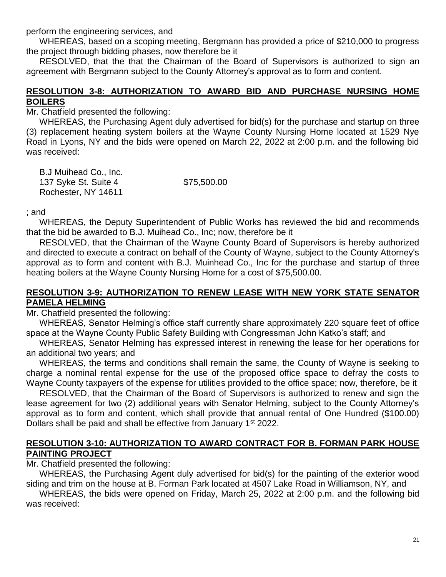perform the engineering services, and

WHEREAS, based on a scoping meeting, Bergmann has provided a price of \$210,000 to progress the project through bidding phases, now therefore be it

RESOLVED, that the that the Chairman of the Board of Supervisors is authorized to sign an agreement with Bergmann subject to the County Attorney's approval as to form and content.

#### **RESOLUTION 3-8: AUTHORIZATION TO AWARD BID AND PURCHASE NURSING HOME BOILERS**

Mr. Chatfield presented the following:

WHEREAS, the Purchasing Agent duly advertised for bid(s) for the purchase and startup on three (3) replacement heating system boilers at the Wayne County Nursing Home located at 1529 Nye Road in Lyons, NY and the bids were opened on March 22, 2022 at 2:00 p.m. and the following bid was received:

B.J Muihead Co., Inc. 137 Syke St. Suite 4 \$75,500.00 Rochester, NY 14611

; and

WHEREAS, the Deputy Superintendent of Public Works has reviewed the bid and recommends that the bid be awarded to B.J. Muihead Co., Inc; now, therefore be it

RESOLVED, that the Chairman of the Wayne County Board of Supervisors is hereby authorized and directed to execute a contract on behalf of the County of Wayne, subject to the County Attorney's approval as to form and content with B.J. Muinhead Co., Inc for the purchase and startup of three heating boilers at the Wayne County Nursing Home for a cost of \$75,500.00.

## **RESOLUTION 3-9: AUTHORIZATION TO RENEW LEASE WITH NEW YORK STATE SENATOR PAMELA HELMING**

Mr. Chatfield presented the following:

WHEREAS, Senator Helming's office staff currently share approximately 220 square feet of office space at the Wayne County Public Safety Building with Congressman John Katko's staff; and

WHEREAS, Senator Helming has expressed interest in renewing the lease for her operations for an additional two years; and

WHEREAS, the terms and conditions shall remain the same, the County of Wayne is seeking to charge a nominal rental expense for the use of the proposed office space to defray the costs to Wayne County taxpayers of the expense for utilities provided to the office space; now, therefore, be it

RESOLVED, that the Chairman of the Board of Supervisors is authorized to renew and sign the lease agreement for two (2) additional years with Senator Helming, subject to the County Attorney's approval as to form and content, which shall provide that annual rental of One Hundred (\$100.00) Dollars shall be paid and shall be effective from January 1<sup>st</sup> 2022.

## **RESOLUTION 3-10: AUTHORIZATION TO AWARD CONTRACT FOR B. FORMAN PARK HOUSE PAINTING PROJECT**

Mr. Chatfield presented the following:

WHEREAS, the Purchasing Agent duly advertised for bid(s) for the painting of the exterior wood siding and trim on the house at B. Forman Park located at 4507 Lake Road in Williamson, NY, and

WHEREAS, the bids were opened on Friday, March 25, 2022 at 2:00 p.m. and the following bid was received: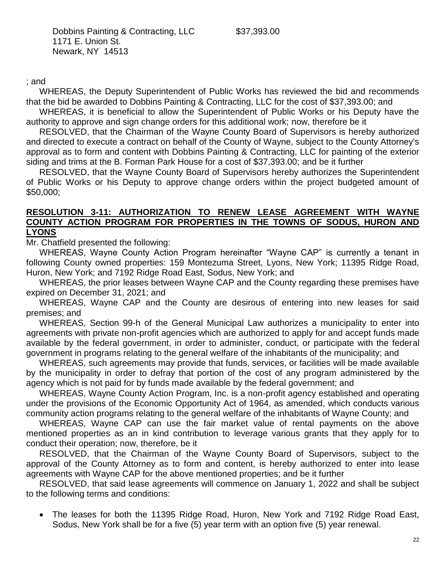Dobbins Painting & Contracting, LLC \$37,393.00 1171 E. Union St. Newark, NY 14513

; and

WHEREAS, the Deputy Superintendent of Public Works has reviewed the bid and recommends that the bid be awarded to Dobbins Painting & Contracting, LLC for the cost of \$37,393.00; and

WHEREAS, it is beneficial to allow the Superintendent of Public Works or his Deputy have the authority to approve and sign change orders for this additional work; now, therefore be it

RESOLVED, that the Chairman of the Wayne County Board of Supervisors is hereby authorized and directed to execute a contract on behalf of the County of Wayne, subject to the County Attorney's approval as to form and content with Dobbins Painting & Contracting, LLC for painting of the exterior siding and trims at the B. Forman Park House for a cost of \$37,393.00; and be it further

RESOLVED, that the Wayne County Board of Supervisors hereby authorizes the Superintendent of Public Works or his Deputy to approve change orders within the project budgeted amount of \$50,000;

#### **RESOLUTION 3-11: AUTHORIZATION TO RENEW LEASE AGREEMENT WITH WAYNE COUNTY ACTION PROGRAM FOR PROPERTIES IN THE TOWNS OF SODUS, HURON AND LYONS**

Mr. Chatfield presented the following:

WHEREAS, Wayne County Action Program hereinafter "Wayne CAP" is currently a tenant in following County owned properties: 159 Montezuma Street, Lyons, New York; 11395 Ridge Road, Huron, New York; and 7192 Ridge Road East, Sodus, New York; and

WHEREAS, the prior leases between Wayne CAP and the County regarding these premises have expired on December 31, 2021; and

WHEREAS, Wayne CAP and the County are desirous of entering into new leases for said premises; and

WHEREAS, Section 99-h of the General Municipal Law authorizes a municipality to enter into agreements with private non-profit agencies which are authorized to apply for and accept funds made available by the federal government, in order to administer, conduct, or participate with the federal government in programs relating to the general welfare of the inhabitants of the municipality; and

WHEREAS, such agreements may provide that funds, services, or facilities will be made available by the municipality in order to defray that portion of the cost of any program administered by the agency which is not paid for by funds made available by the federal government; and

WHEREAS, Wayne County Action Program, Inc. is a non-profit agency established and operating under the provisions of the Economic Opportunity Act of 1964, as amended, which conducts various community action programs relating to the general welfare of the inhabitants of Wayne County; and

WHEREAS, Wayne CAP can use the fair market value of rental payments on the above mentioned properties as an in kind contribution to leverage various grants that they apply for to conduct their operation; now, therefore, be it

RESOLVED, that the Chairman of the Wayne County Board of Supervisors, subject to the approval of the County Attorney as to form and content, is hereby authorized to enter into lease agreements with Wayne CAP for the above mentioned properties; and be it further

RESOLVED, that said lease agreements will commence on January 1, 2022 and shall be subject to the following terms and conditions:

 The leases for both the 11395 Ridge Road, Huron, New York and 7192 Ridge Road East, Sodus, New York shall be for a five (5) year term with an option five (5) year renewal.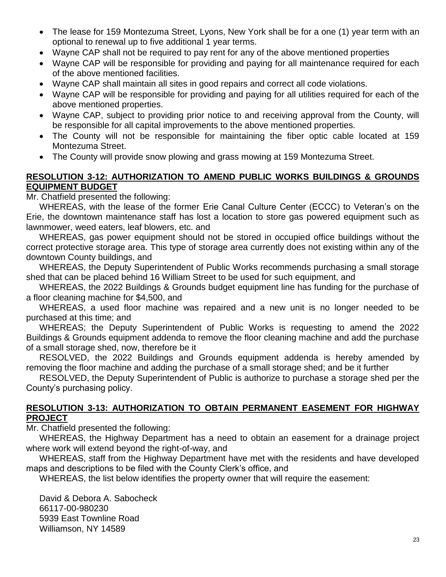- The lease for 159 Montezuma Street, Lyons, New York shall be for a one (1) year term with an optional to renewal up to five additional 1 year terms.
- Wayne CAP shall not be required to pay rent for any of the above mentioned properties
- Wayne CAP will be responsible for providing and paying for all maintenance required for each of the above mentioned facilities.
- Wayne CAP shall maintain all sites in good repairs and correct all code violations.
- Wayne CAP will be responsible for providing and paying for all utilities required for each of the above mentioned properties.
- Wayne CAP, subject to providing prior notice to and receiving approval from the County, will be responsible for all capital improvements to the above mentioned properties.
- The County will not be responsible for maintaining the fiber optic cable located at 159 Montezuma Street.
- The County will provide snow plowing and grass mowing at 159 Montezuma Street.

## **RESOLUTION 3-12: AUTHORIZATION TO AMEND PUBLIC WORKS BUILDINGS & GROUNDS EQUIPMENT BUDGET**

Mr. Chatfield presented the following:

WHEREAS, with the lease of the former Erie Canal Culture Center (ECCC) to Veteran's on the Erie, the downtown maintenance staff has lost a location to store gas powered equipment such as lawnmower, weed eaters, leaf blowers, etc. and

WHEREAS, gas power equipment should not be stored in occupied office buildings without the correct protective storage area. This type of storage area currently does not existing within any of the downtown County buildings, and

WHEREAS, the Deputy Superintendent of Public Works recommends purchasing a small storage shed that can be placed behind 16 William Street to be used for such equipment, and

WHEREAS, the 2022 Buildings & Grounds budget equipment line has funding for the purchase of a floor cleaning machine for \$4,500, and

WHEREAS, a used floor machine was repaired and a new unit is no longer needed to be purchased at this time; and

WHEREAS; the Deputy Superintendent of Public Works is requesting to amend the 2022 Buildings & Grounds equipment addenda to remove the floor cleaning machine and add the purchase of a small storage shed, now, therefore be it

RESOLVED, the 2022 Buildings and Grounds equipment addenda is hereby amended by removing the floor machine and adding the purchase of a small storage shed; and be it further

RESOLVED, the Deputy Superintendent of Public is authorize to purchase a storage shed per the County's purchasing policy.

#### **RESOLUTION 3-13: AUTHORIZATION TO OBTAIN PERMANENT EASEMENT FOR HIGHWAY PROJECT**

Mr. Chatfield presented the following:

WHEREAS, the Highway Department has a need to obtain an easement for a drainage project where work will extend beyond the right-of-way, and

WHEREAS, staff from the Highway Department have met with the residents and have developed maps and descriptions to be filed with the County Clerk's office, and

WHEREAS, the list below identifies the property owner that will require the easement:

David & Debora A. Sabocheck 66117-00-980230 5939 East Townline Road Williamson, NY 14589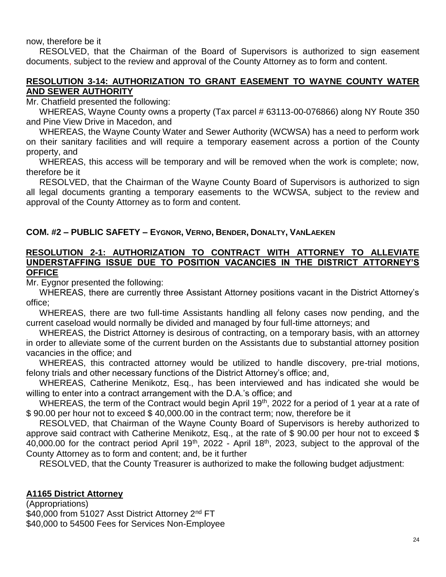now, therefore be it

RESOLVED, that the Chairman of the Board of Supervisors is authorized to sign easement documents, subject to the review and approval of the County Attorney as to form and content.

# **RESOLUTION 3-14: AUTHORIZATION TO GRANT EASEMENT TO WAYNE COUNTY WATER AND SEWER AUTHORITY**

Mr. Chatfield presented the following:

WHEREAS, Wayne County owns a property (Tax parcel # 63113-00-076866) along NY Route 350 and Pine View Drive in Macedon, and

WHEREAS, the Wayne County Water and Sewer Authority (WCWSA) has a need to perform work on their sanitary facilities and will require a temporary easement across a portion of the County property, and

WHEREAS, this access will be temporary and will be removed when the work is complete; now, therefore be it

RESOLVED, that the Chairman of the Wayne County Board of Supervisors is authorized to sign all legal documents granting a temporary easements to the WCWSA, subject to the review and approval of the County Attorney as to form and content.

# **COM. #2 – PUBLIC SAFETY – EYGNOR, VERNO, BENDER, DONALTY, VANLAEKEN**

#### **RESOLUTION 2-1: AUTHORIZATION TO CONTRACT WITH ATTORNEY TO ALLEVIATE UNDERSTAFFING ISSUE DUE TO POSITION VACANCIES IN THE DISTRICT ATTORNEY'S OFFICE**

Mr. Eygnor presented the following:

WHEREAS, there are currently three Assistant Attorney positions vacant in the District Attorney's office;

WHEREAS, there are two full-time Assistants handling all felony cases now pending, and the current caseload would normally be divided and managed by four full-time attorneys; and

WHEREAS, the District Attorney is desirous of contracting, on a temporary basis, with an attorney in order to alleviate some of the current burden on the Assistants due to substantial attorney position vacancies in the office; and

WHEREAS, this contracted attorney would be utilized to handle discovery, pre-trial motions, felony trials and other necessary functions of the District Attorney's office; and,

WHEREAS, Catherine Menikotz, Esq., has been interviewed and has indicated she would be willing to enter into a contract arrangement with the D.A.'s office; and

WHEREAS, the term of the Contract would begin April 19<sup>th</sup>, 2022 for a period of 1 year at a rate of \$ 90.00 per hour not to exceed \$ 40,000.00 in the contract term; now, therefore be it

RESOLVED, that Chairman of the Wayne County Board of Supervisors is hereby authorized to approve said contract with Catherine Menikotz, Esq., at the rate of \$ 90.00 per hour not to exceed \$ 40,000.00 for the contract period April 19<sup>th</sup>, 2022 - April 18<sup>th</sup>, 2023, subject to the approval of the County Attorney as to form and content; and, be it further

RESOLVED, that the County Treasurer is authorized to make the following budget adjustment:

# **A1165 District Attorney**

(Appropriations) \$40,000 from 51027 Asst District Attorney 2<sup>nd</sup> FT \$40,000 to 54500 Fees for Services Non-Employee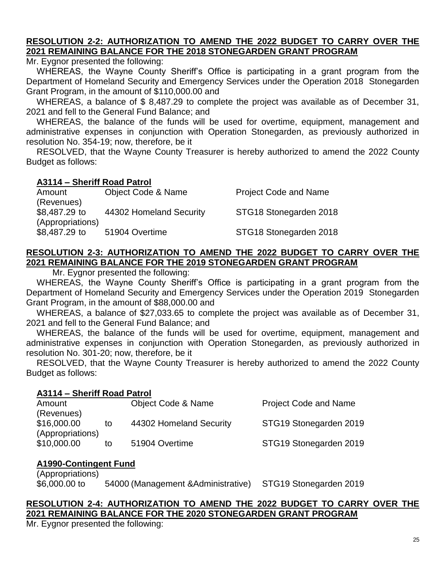## **RESOLUTION 2-2: AUTHORIZATION TO AMEND THE 2022 BUDGET TO CARRY OVER THE 2021 REMAINING BALANCE FOR THE 2018 STONEGARDEN GRANT PROGRAM**

Mr. Evanor presented the following:

WHEREAS, the Wayne County Sheriff's Office is participating in a grant program from the Department of Homeland Security and Emergency Services under the Operation 2018 Stonegarden Grant Program, in the amount of \$110,000.00 and

WHEREAS, a balance of \$ 8,487.29 to complete the project was available as of December 31, 2021 and fell to the General Fund Balance; and

WHEREAS, the balance of the funds will be used for overtime, equipment, management and administrative expenses in conjunction with Operation Stonegarden, as previously authorized in resolution No. 354-19; now, therefore, be it

RESOLVED, that the Wayne County Treasurer is hereby authorized to amend the 2022 County Budget as follows:

#### **A3114 – Sheriff Road Patrol**

| Amount           | <b>Object Code &amp; Name</b> | <b>Project Code and Name</b> |
|------------------|-------------------------------|------------------------------|
| (Revenues)       |                               |                              |
| \$8,487.29 to    | 44302 Homeland Security       | STG18 Stonegarden 2018       |
| (Appropriations) |                               |                              |
| \$8,487.29 to    | 51904 Overtime                | STG18 Stonegarden 2018       |

# **RESOLUTION 2-3: AUTHORIZATION TO AMEND THE 2022 BUDGET TO CARRY OVER THE 2021 REMAINING BALANCE FOR THE 2019 STONEGARDEN GRANT PROGRAM**

Mr. Eygnor presented the following:

WHEREAS, the Wayne County Sheriff's Office is participating in a grant program from the Department of Homeland Security and Emergency Services under the Operation 2019 Stonegarden Grant Program, in the amount of \$88,000.00 and

WHEREAS, a balance of \$27,033.65 to complete the project was available as of December 31, 2021 and fell to the General Fund Balance; and

WHEREAS, the balance of the funds will be used for overtime, equipment, management and administrative expenses in conjunction with Operation Stonegarden, as previously authorized in resolution No. 301-20; now, therefore, be it

RESOLVED, that the Wayne County Treasurer is hereby authorized to amend the 2022 County Budget as follows:

#### **A3114 – Sheriff Road Patrol**

| Amount           |    | <b>Object Code &amp; Name</b> | <b>Project Code and Name</b> |
|------------------|----|-------------------------------|------------------------------|
| (Revenues)       |    |                               |                              |
| \$16,000.00      | to | 44302 Homeland Security       | STG19 Stonegarden 2019       |
| (Appropriations) |    |                               |                              |
| \$10,000.00      | to | 51904 Overtime                | STG19 Stonegarden 2019       |

# **A1990-Contingent Fund**

(Appropriations) \$6,000.00 to 54000 (Management &Administrative) STG19 Stonegarden 2019

# **RESOLUTION 2-4: AUTHORIZATION TO AMEND THE 2022 BUDGET TO CARRY OVER THE 2021 REMAINING BALANCE FOR THE 2020 STONEGARDEN GRANT PROGRAM**

Mr. Eygnor presented the following: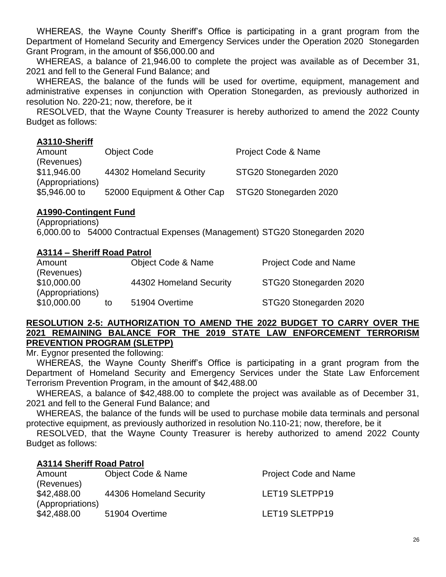WHEREAS, the Wayne County Sheriff's Office is participating in a grant program from the Department of Homeland Security and Emergency Services under the Operation 2020 Stonegarden Grant Program, in the amount of \$56,000.00 and

WHEREAS, a balance of 21,946.00 to complete the project was available as of December 31, 2021 and fell to the General Fund Balance; and

WHEREAS, the balance of the funds will be used for overtime, equipment, management and administrative expenses in conjunction with Operation Stonegarden, as previously authorized in resolution No. 220-21; now, therefore, be it

RESOLVED, that the Wayne County Treasurer is hereby authorized to amend the 2022 County Budget as follows:

#### **A3110-Sheriff**

| Amount           | <b>Object Code</b>          | <b>Project Code &amp; Name</b> |
|------------------|-----------------------------|--------------------------------|
| (Revenues)       |                             |                                |
| \$11,946.00      | 44302 Homeland Security     | STG20 Stonegarden 2020         |
| (Appropriations) |                             |                                |
| \$5,946.00 to    | 52000 Equipment & Other Cap | STG20 Stonegarden 2020         |

## **A1990-Contingent Fund**

(Appropriations) 6,000.00 to 54000 Contractual Expenses (Management) STG20 Stonegarden 2020

## **A3114 – Sheriff Road Patrol**

| Amount           |    | <b>Object Code &amp; Name</b> | <b>Project Code and Name</b> |
|------------------|----|-------------------------------|------------------------------|
| (Revenues)       |    |                               |                              |
| \$10,000.00      |    | 44302 Homeland Security       | STG20 Stonegarden 2020       |
| (Appropriations) |    |                               |                              |
| \$10,000.00      | to | 51904 Overtime                | STG20 Stonegarden 2020       |

#### **RESOLUTION 2-5: AUTHORIZATION TO AMEND THE 2022 BUDGET TO CARRY OVER THE 2021 REMAINING BALANCE FOR THE 2019 STATE LAW ENFORCEMENT TERRORISM PREVENTION PROGRAM (SLETPP)**

Mr. Eygnor presented the following:

WHEREAS, the Wayne County Sheriff's Office is participating in a grant program from the Department of Homeland Security and Emergency Services under the State Law Enforcement Terrorism Prevention Program, in the amount of \$42,488.00

WHEREAS, a balance of \$42,488.00 to complete the project was available as of December 31, 2021 and fell to the General Fund Balance; and

WHEREAS, the balance of the funds will be used to purchase mobile data terminals and personal protective equipment, as previously authorized in resolution No.110-21; now, therefore, be it

RESOLVED, that the Wayne County Treasurer is hereby authorized to amend 2022 County Budget as follows:

#### **A3114 Sheriff Road Patrol**

| Amount           | <b>Object Code &amp; Name</b> | <b>Project Code and Name</b> |
|------------------|-------------------------------|------------------------------|
| (Revenues)       |                               |                              |
| \$42,488.00      | 44306 Homeland Security       | LET19 SLETPP19               |
| (Appropriations) |                               |                              |
| \$42,488.00      | 51904 Overtime                | LET19 SLETPP19               |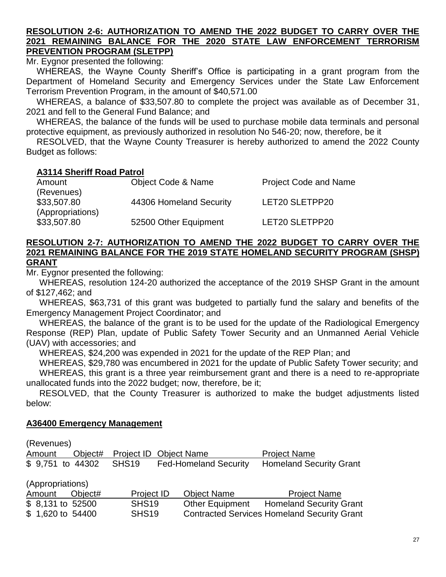#### **RESOLUTION 2-6: AUTHORIZATION TO AMEND THE 2022 BUDGET TO CARRY OVER THE 2021 REMAINING BALANCE FOR THE 2020 STATE LAW ENFORCEMENT TERRORISM PREVENTION PROGRAM (SLETPP)**

Mr. Evanor presented the following:

WHEREAS, the Wayne County Sheriff's Office is participating in a grant program from the Department of Homeland Security and Emergency Services under the State Law Enforcement Terrorism Prevention Program, in the amount of \$40,571.00

WHEREAS, a balance of \$33,507.80 to complete the project was available as of December 31, 2021 and fell to the General Fund Balance; and

WHEREAS, the balance of the funds will be used to purchase mobile data terminals and personal protective equipment, as previously authorized in resolution No 546-20; now, therefore, be it

RESOLVED, that the Wayne County Treasurer is hereby authorized to amend the 2022 County Budget as follows:

#### **A3114 Sheriff Road Patrol**

| Amount           | Object Code & Name      | <b>Project Code and Name</b> |
|------------------|-------------------------|------------------------------|
| (Revenues)       |                         |                              |
| \$33,507.80      | 44306 Homeland Security | LET20 SLETPP20               |
| (Appropriations) |                         |                              |
| \$33,507.80      | 52500 Other Equipment   | LET20 SLETPP20               |

## **RESOLUTION 2-7: AUTHORIZATION TO AMEND THE 2022 BUDGET TO CARRY OVER THE 2021 REMAINING BALANCE FOR THE 2019 STATE HOMELAND SECURITY PROGRAM (SHSP) GRANT**

Mr. Eygnor presented the following:

WHEREAS, resolution 124-20 authorized the acceptance of the 2019 SHSP Grant in the amount of \$127,462; and

WHEREAS, \$63,731 of this grant was budgeted to partially fund the salary and benefits of the Emergency Management Project Coordinator; and

WHEREAS, the balance of the grant is to be used for the update of the Radiological Emergency Response (REP) Plan, update of Public Safety Tower Security and an Unmanned Aerial Vehicle (UAV) with accessories; and

WHEREAS, \$24,200 was expended in 2021 for the update of the REP Plan; and

WHEREAS, \$29,780 was encumbered in 2021 for the update of Public Safety Tower security; and WHEREAS, this grant is a three year reimbursement grant and there is a need to re-appropriate

unallocated funds into the 2022 budget; now, therefore, be it;

RESOLVED, that the County Treasurer is authorized to make the budget adjustments listed below:

#### **A36400 Emergency Management**

(Revenues)

| Amount            | Object# | Project ID Object Name |                              | <b>Project Name</b>                                |
|-------------------|---------|------------------------|------------------------------|----------------------------------------------------|
| \$ 9,751 to 44302 |         | SHS <sub>19</sub>      | <b>Fed-Homeland Security</b> | <b>Homeland Security Grant</b>                     |
| (Appropriations)  |         |                        |                              |                                                    |
| Amount            | Object# | Project ID             | <b>Object Name</b>           | <b>Project Name</b>                                |
| \$ 8,131 to 52500 |         | SHS <sub>19</sub>      | <b>Other Equipment</b>       | <b>Homeland Security Grant</b>                     |
| \$1,620 to 54400  |         | SHS <sub>19</sub>      |                              | <b>Contracted Services Homeland Security Grant</b> |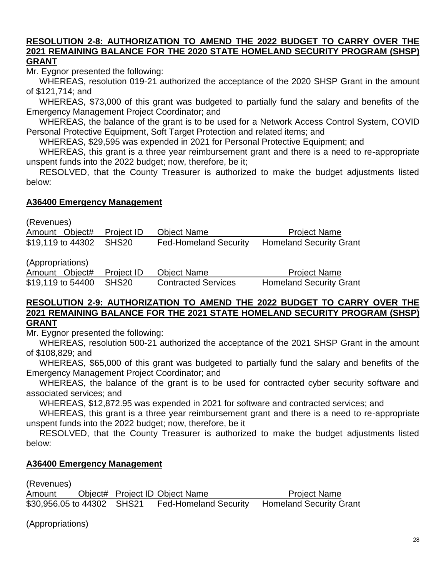#### **RESOLUTION 2-8: AUTHORIZATION TO AMEND THE 2022 BUDGET TO CARRY OVER THE 2021 REMAINING BALANCE FOR THE 2020 STATE HOMELAND SECURITY PROGRAM (SHSP) GRANT**

Mr. Eygnor presented the following:

WHEREAS, resolution 019-21 authorized the acceptance of the 2020 SHSP Grant in the amount of \$121,714; and

WHEREAS, \$73,000 of this grant was budgeted to partially fund the salary and benefits of the Emergency Management Project Coordinator; and

WHEREAS, the balance of the grant is to be used for a Network Access Control System, COVID Personal Protective Equipment, Soft Target Protection and related items; and

WHEREAS, \$29,595 was expended in 2021 for Personal Protective Equipment; and

WHEREAS, this grant is a three year reimbursement grant and there is a need to re-appropriate unspent funds into the 2022 budget; now, therefore, be it;

RESOLVED, that the County Treasurer is authorized to make the budget adjustments listed below:

## **A36400 Emergency Management**

(Revenues)

| Amount Object#          | Project ID | Object Name                  | <b>Project Name</b>            |
|-------------------------|------------|------------------------------|--------------------------------|
| \$19,119 to 44302 SHS20 |            | <b>Fed-Homeland Security</b> | <b>Homeland Security Grant</b> |
|                         |            |                              |                                |

(Appropriations)

Amount Object# Project ID Object Name Project Name \$19,119 to 54400 SHS20 Contracted Services Homeland Security Grant

#### **RESOLUTION 2-9: AUTHORIZATION TO AMEND THE 2022 BUDGET TO CARRY OVER THE 2021 REMAINING BALANCE FOR THE 2021 STATE HOMELAND SECURITY PROGRAM (SHSP) GRANT**

Mr. Evanor presented the following:

WHEREAS, resolution 500-21 authorized the acceptance of the 2021 SHSP Grant in the amount of \$108,829; and

WHEREAS, \$65,000 of this grant was budgeted to partially fund the salary and benefits of the Emergency Management Project Coordinator; and

WHEREAS, the balance of the grant is to be used for contracted cyber security software and associated services; and

WHEREAS, \$12,872.95 was expended in 2021 for software and contracted services; and

WHEREAS, this grant is a three year reimbursement grant and there is a need to re-appropriate unspent funds into the 2022 budget; now, therefore, be it

RESOLVED, that the County Treasurer is authorized to make the budget adjustments listed below:

# **A36400 Emergency Management**

(Revenues)

Amount Object# Project ID Object Name Project Name \$30,956.05 to 44302 SHS21 Fed-Homeland Security Homeland Security Grant

(Appropriations)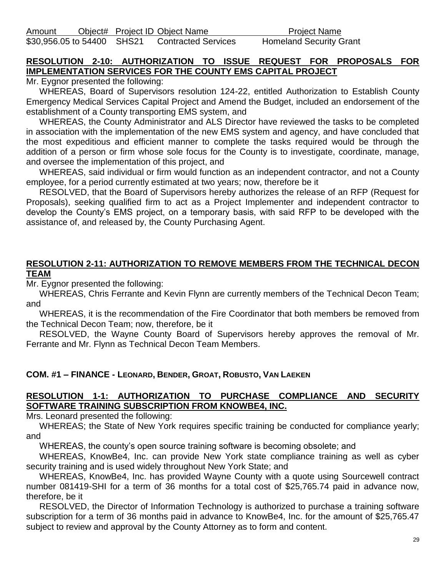Amount Object# Project ID Object Name Project Name \$30,956.05 to 54400 SHS21 Contracted Services Homeland Security Grant

# **RESOLUTION 2-10: AUTHORIZATION TO ISSUE REQUEST FOR PROPOSALS FOR IMPLEMENTATION SERVICES FOR THE COUNTY EMS CAPITAL PROJECT**

Mr. Eygnor presented the following:

WHEREAS, Board of Supervisors resolution 124-22, entitled Authorization to Establish County Emergency Medical Services Capital Project and Amend the Budget, included an endorsement of the establishment of a County transporting EMS system, and

WHEREAS, the County Administrator and ALS Director have reviewed the tasks to be completed in association with the implementation of the new EMS system and agency, and have concluded that the most expeditious and efficient manner to complete the tasks required would be through the addition of a person or firm whose sole focus for the County is to investigate, coordinate, manage, and oversee the implementation of this project, and

WHEREAS, said individual or firm would function as an independent contractor, and not a County employee, for a period currently estimated at two years; now, therefore be it

RESOLVED, that the Board of Supervisors hereby authorizes the release of an RFP (Request for Proposals), seeking qualified firm to act as a Project Implementer and independent contractor to develop the County's EMS project, on a temporary basis, with said RFP to be developed with the assistance of, and released by, the County Purchasing Agent.

#### **RESOLUTION 2-11: AUTHORIZATION TO REMOVE MEMBERS FROM THE TECHNICAL DECON TEAM**

Mr. Eygnor presented the following:

WHEREAS, Chris Ferrante and Kevin Flynn are currently members of the Technical Decon Team; and

WHEREAS, it is the recommendation of the Fire Coordinator that both members be removed from the Technical Decon Team; now, therefore, be it

RESOLVED, the Wayne County Board of Supervisors hereby approves the removal of Mr. Ferrante and Mr. Flynn as Technical Decon Team Members.

# **COM. #1 – FINANCE - LEONARD, BENDER, GROAT, ROBUSTO, VAN LAEKEN**

# **RESOLUTION 1-1: AUTHORIZATION TO PURCHASE COMPLIANCE AND SECURITY SOFTWARE TRAINING SUBSCRIPTION FROM KNOWBE4, INC.**

Mrs. Leonard presented the following:

WHEREAS; the State of New York requires specific training be conducted for compliance yearly; and

WHEREAS, the county's open source training software is becoming obsolete; and

WHEREAS, KnowBe4, Inc. can provide New York state compliance training as well as cyber security training and is used widely throughout New York State; and

WHEREAS, KnowBe4, Inc. has provided Wayne County with a quote using Sourcewell contract number 081419-SHI for a term of 36 months for a total cost of \$25,765.74 paid in advance now, therefore, be it

RESOLVED, the Director of Information Technology is authorized to purchase a training software subscription for a term of 36 months paid in advance to KnowBe4, Inc. for the amount of \$25,765.47 subject to review and approval by the County Attorney as to form and content.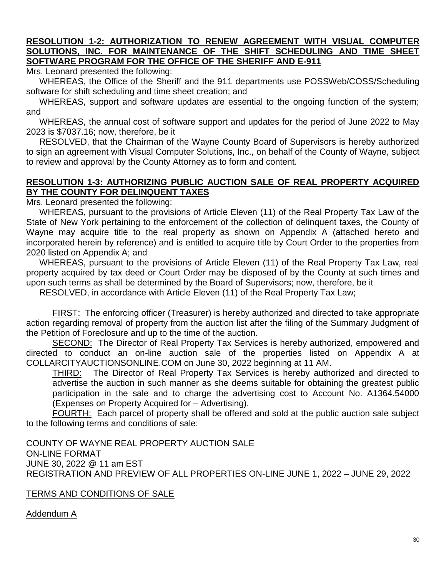#### **RESOLUTION 1-2: AUTHORIZATION TO RENEW AGREEMENT WITH VISUAL COMPUTER SOLUTIONS, INC. FOR MAINTENANCE OF THE SHIFT SCHEDULING AND TIME SHEET SOFTWARE PROGRAM FOR THE OFFICE OF THE SHERIFF AND E-911**

Mrs. Leonard presented the following:

WHEREAS, the Office of the Sheriff and the 911 departments use POSSWeb/COSS/Scheduling software for shift scheduling and time sheet creation; and

WHEREAS, support and software updates are essential to the ongoing function of the system; and

WHEREAS, the annual cost of software support and updates for the period of June 2022 to May 2023 is \$7037.16; now, therefore, be it

RESOLVED, that the Chairman of the Wayne County Board of Supervisors is hereby authorized to sign an agreement with Visual Computer Solutions, Inc., on behalf of the County of Wayne, subject to review and approval by the County Attorney as to form and content.

# **RESOLUTION 1-3: AUTHORIZING PUBLIC AUCTION SALE OF REAL PROPERTY ACQUIRED BY THE COUNTY FOR DELINQUENT TAXES**

Mrs. Leonard presented the following:

WHEREAS, pursuant to the provisions of Article Eleven (11) of the Real Property Tax Law of the State of New York pertaining to the enforcement of the collection of delinquent taxes, the County of Wayne may acquire title to the real property as shown on Appendix A (attached hereto and incorporated herein by reference) and is entitled to acquire title by Court Order to the properties from 2020 listed on Appendix A; and

WHEREAS, pursuant to the provisions of Article Eleven (11) of the Real Property Tax Law, real property acquired by tax deed or Court Order may be disposed of by the County at such times and upon such terms as shall be determined by the Board of Supervisors; now, therefore, be it

RESOLVED, in accordance with Article Eleven (11) of the Real Property Tax Law;

FIRST: The enforcing officer (Treasurer) is hereby authorized and directed to take appropriate action regarding removal of property from the auction list after the filing of the Summary Judgment of the Petition of Foreclosure and up to the time of the auction.

SECOND: The Director of Real Property Tax Services is hereby authorized, empowered and directed to conduct an on-line auction sale of the properties listed on Appendix A at COLLARCITYAUCTIONSONLINE.COM on June 30, 2022 beginning at 11 AM.

THIRD: The Director of Real Property Tax Services is hereby authorized and directed to advertise the auction in such manner as she deems suitable for obtaining the greatest public participation in the sale and to charge the advertising cost to Account No. A1364.54000 (Expenses on Property Acquired for – Advertising).

FOURTH: Each parcel of property shall be offered and sold at the public auction sale subject to the following terms and conditions of sale:

COUNTY OF WAYNE REAL PROPERTY AUCTION SALE ON-LINE FORMAT JUNE 30, 2022 @ 11 am EST REGISTRATION AND PREVIEW OF ALL PROPERTIES ON-LINE JUNE 1, 2022 – JUNE 29, 2022

# TERMS AND CONDITIONS OF SALE

Addendum A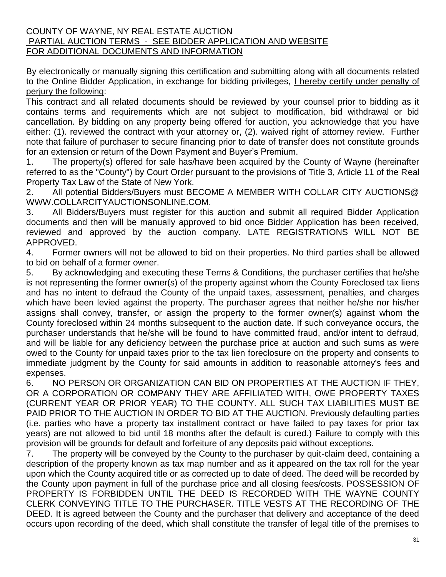#### COUNTY OF WAYNE, NY REAL ESTATE AUCTION PARTIAL AUCTION TERMS - SEE BIDDER APPLICATION AND WEBSITE FOR ADDITIONAL DOCUMENTS AND INFORMATION

By electronically or manually signing this certification and submitting along with all documents related to the Online Bidder Application, in exchange for bidding privileges, I hereby certify under penalty of perjury the following:

This contract and all related documents should be reviewed by your counsel prior to bidding as it contains terms and requirements which are not subject to modification, bid withdrawal or bid cancellation. By bidding on any property being offered for auction, you acknowledge that you have either: (1). reviewed the contract with your attorney or, (2). waived right of attorney review. Further note that failure of purchaser to secure financing prior to date of transfer does not constitute grounds for an extension or return of the Down Payment and Buyer's Premium.

1. The property(s) offered for sale has/have been acquired by the County of Wayne (hereinafter referred to as the "County") by Court Order pursuant to the provisions of Title 3, Article 11 of the Real Property Tax Law of the State of New York.

2. All potential Bidders/Buyers must BECOME A MEMBER WITH COLLAR CITY AUCTIONS@ WWW.COLLARCITYAUCTIONSONLINE.COM.

3. All Bidders/Buyers must register for this auction and submit all required Bidder Application documents and then will be manually approved to bid once Bidder Application has been received, reviewed and approved by the auction company. LATE REGISTRATIONS WILL NOT BE APPROVED.

4. Former owners will not be allowed to bid on their properties. No third parties shall be allowed to bid on behalf of a former owner.

5. By acknowledging and executing these Terms & Conditions, the purchaser certifies that he/she is not representing the former owner(s) of the property against whom the County Foreclosed tax liens and has no intent to defraud the County of the unpaid taxes, assessment, penalties, and charges which have been levied against the property. The purchaser agrees that neither he/she nor his/her assigns shall convey, transfer, or assign the property to the former owner(s) against whom the County foreclosed within 24 months subsequent to the auction date. If such conveyance occurs, the purchaser understands that he/she will be found to have committed fraud, and/or intent to defraud, and will be liable for any deficiency between the purchase price at auction and such sums as were owed to the County for unpaid taxes prior to the tax lien foreclosure on the property and consents to immediate judgment by the County for said amounts in addition to reasonable attorney's fees and expenses.

6. NO PERSON OR ORGANIZATION CAN BID ON PROPERTIES AT THE AUCTION IF THEY, OR A CORPORATION OR COMPANY THEY ARE AFFILIATED WITH, OWE PROPERTY TAXES (CURRENT YEAR OR PRIOR YEAR) TO THE COUNTY. ALL SUCH TAX LIABILITIES MUST BE PAID PRIOR TO THE AUCTION IN ORDER TO BID AT THE AUCTION. Previously defaulting parties (i.e. parties who have a property tax installment contract or have failed to pay taxes for prior tax years) are not allowed to bid until 18 months after the default is cured.) Failure to comply with this provision will be grounds for default and forfeiture of any deposits paid without exceptions.

7. The property will be conveyed by the County to the purchaser by quit-claim deed, containing a description of the property known as tax map number and as it appeared on the tax roll for the year upon which the County acquired title or as corrected up to date of deed. The deed will be recorded by the County upon payment in full of the purchase price and all closing fees/costs. POSSESSION OF PROPERTY IS FORBIDDEN UNTIL THE DEED IS RECORDED WITH THE WAYNE COUNTY CLERK CONVEYING TITLE TO THE PURCHASER. TITLE VESTS AT THE RECORDING OF THE DEED. It is agreed between the County and the purchaser that delivery and acceptance of the deed occurs upon recording of the deed, which shall constitute the transfer of legal title of the premises to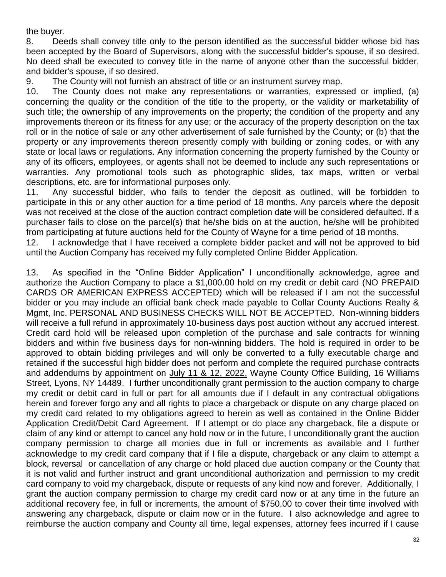the buyer.

8. Deeds shall convey title only to the person identified as the successful bidder whose bid has been accepted by the Board of Supervisors, along with the successful bidder's spouse, if so desired. No deed shall be executed to convey title in the name of anyone other than the successful bidder, and bidder's spouse, if so desired.

9. The County will not furnish an abstract of title or an instrument survey map.

10. The County does not make any representations or warranties, expressed or implied, (a) concerning the quality or the condition of the title to the property, or the validity or marketability of such title; the ownership of any improvements on the property; the condition of the property and any improvements thereon or its fitness for any use; or the accuracy of the property description on the tax roll or in the notice of sale or any other advertisement of sale furnished by the County; or (b) that the property or any improvements thereon presently comply with building or zoning codes, or with any state or local laws or regulations. Any information concerning the property furnished by the County or any of its officers, employees, or agents shall not be deemed to include any such representations or warranties. Any promotional tools such as photographic slides, tax maps, written or verbal descriptions, etc. are for informational purposes only.

11. Any successful bidder, who fails to tender the deposit as outlined, will be forbidden to participate in this or any other auction for a time period of 18 months. Any parcels where the deposit was not received at the close of the auction contract completion date will be considered defaulted. If a purchaser fails to close on the parcel(s) that he/she bids on at the auction, he/she will be prohibited from participating at future auctions held for the County of Wayne for a time period of 18 months.

12. I acknowledge that I have received a complete bidder packet and will not be approved to bid until the Auction Company has received my fully completed Online Bidder Application.

13. As specified in the "Online Bidder Application" I unconditionally acknowledge, agree and authorize the Auction Company to place a \$1,000.00 hold on my credit or debit card (NO PREPAID CARDS OR AMERICAN EXPRESS ACCEPTED) which will be released if I am not the successful bidder or you may include an official bank check made payable to Collar County Auctions Realty & Mgmt, Inc. PERSONAL AND BUSINESS CHECKS WILL NOT BE ACCEPTED. Non-winning bidders will receive a full refund in approximately 10-business days post auction without any accrued interest. Credit card hold will be released upon completion of the purchase and sale contracts for winning bidders and within five business days for non-winning bidders. The hold is required in order to be approved to obtain bidding privileges and will only be converted to a fully executable charge and retained if the successful high bidder does not perform and complete the required purchase contracts and addendums by appointment on July 11 & 12, 2022, Wayne County Office Building, 16 Williams Street, Lyons, NY 14489. I further unconditionally grant permission to the auction company to charge my credit or debit card in full or part for all amounts due if I default in any contractual obligations herein and forever forgo any and all rights to place a chargeback or dispute on any charge placed on my credit card related to my obligations agreed to herein as well as contained in the Online Bidder Application Credit/Debit Card Agreement. If I attempt or do place any chargeback, file a dispute or claim of any kind or attempt to cancel any hold now or in the future, I unconditionally grant the auction company permission to charge all monies due in full or increments as available and I further acknowledge to my credit card company that if I file a dispute, chargeback or any claim to attempt a block, reversal or cancellation of any charge or hold placed due auction company or the County that it is not valid and further instruct and grant unconditional authorization and permission to my credit card company to void my chargeback, dispute or requests of any kind now and forever. Additionally, I grant the auction company permission to charge my credit card now or at any time in the future an additional recovery fee, in full or increments, the amount of \$750.00 to cover their time involved with answering any chargeback, dispute or claim now or in the future. I also acknowledge and agree to reimburse the auction company and County all time, legal expenses, attorney fees incurred if I cause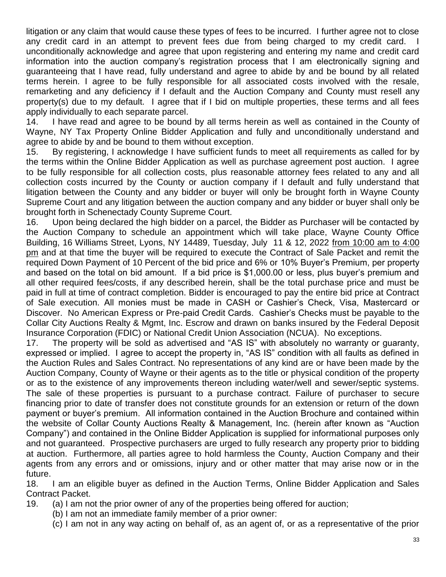litigation or any claim that would cause these types of fees to be incurred. I further agree not to close any credit card in an attempt to prevent fees due from being charged to my credit card. unconditionally acknowledge and agree that upon registering and entering my name and credit card information into the auction company's registration process that I am electronically signing and guaranteeing that I have read, fully understand and agree to abide by and be bound by all related terms herein. I agree to be fully responsible for all associated costs involved with the resale, remarketing and any deficiency if I default and the Auction Company and County must resell any property(s) due to my default. I agree that if I bid on multiple properties, these terms and all fees apply individually to each separate parcel.

14. I have read and agree to be bound by all terms herein as well as contained in the County of Wayne, NY Tax Property Online Bidder Application and fully and unconditionally understand and agree to abide by and be bound to them without exception.

15. By registering, I acknowledge I have sufficient funds to meet all requirements as called for by the terms within the Online Bidder Application as well as purchase agreement post auction. I agree to be fully responsible for all collection costs, plus reasonable attorney fees related to any and all collection costs incurred by the County or auction company if I default and fully understand that litigation between the County and any bidder or buyer will only be brought forth in Wayne County Supreme Court and any litigation between the auction company and any bidder or buyer shall only be brought forth in Schenectady County Supreme Court.

16. Upon being declared the high bidder on a parcel, the Bidder as Purchaser will be contacted by the Auction Company to schedule an appointment which will take place, Wayne County Office Building, 16 Williams Street, Lyons, NY 14489, Tuesday, July 11 & 12, 2022 from 10:00 am to 4:00 pm and at that time the buyer will be required to execute the Contract of Sale Packet and remit the required Down Payment of 10 Percent of the bid price and 6% or 10% Buyer's Premium, per property and based on the total on bid amount. If a bid price is \$1,000.00 or less, plus buyer's premium and all other required fees/costs, if any described herein, shall be the total purchase price and must be paid in full at time of contract completion. Bidder is encouraged to pay the entire bid price at Contract of Sale execution. All monies must be made in CASH or Cashier's Check, Visa, Mastercard or Discover. No American Express or Pre-paid Credit Cards. Cashier's Checks must be payable to the Collar City Auctions Realty & Mgmt, Inc. Escrow and drawn on banks insured by the Federal Deposit Insurance Corporation (FDIC) or National Credit Union Association (NCUA). No exceptions.

17. The property will be sold as advertised and "AS IS" with absolutely no warranty or guaranty, expressed or implied. I agree to accept the property in, "AS IS" condition with all faults as defined in the Auction Rules and Sales Contract. No representations of any kind are or have been made by the Auction Company, County of Wayne or their agents as to the title or physical condition of the property or as to the existence of any improvements thereon including water/well and sewer/septic systems. The sale of these properties is pursuant to a purchase contract. Failure of purchaser to secure financing prior to date of transfer does not constitute grounds for an extension or return of the down payment or buyer's premium. All information contained in the Auction Brochure and contained within the website of Collar County Auctions Realty & Management, Inc. (herein after known as "Auction Company") and contained in the Online Bidder Application is supplied for informational purposes only and not guaranteed. Prospective purchasers are urged to fully research any property prior to bidding at auction. Furthermore, all parties agree to hold harmless the County, Auction Company and their agents from any errors and or omissions, injury and or other matter that may arise now or in the future.

18. I am an eligible buyer as defined in the Auction Terms, Online Bidder Application and Sales Contract Packet.

- 19. (a) I am not the prior owner of any of the properties being offered for auction;
	- (b) I am not an immediate family member of a prior owner:
	- (c) I am not in any way acting on behalf of, as an agent of, or as a representative of the prior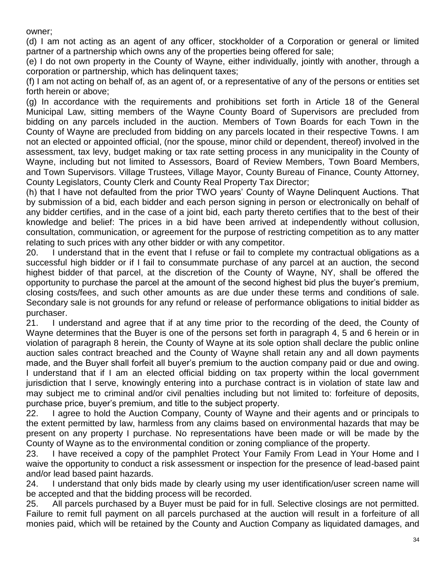owner;

(d) I am not acting as an agent of any officer, stockholder of a Corporation or general or limited partner of a partnership which owns any of the properties being offered for sale;

(e) I do not own property in the County of Wayne, either individually, jointly with another, through a corporation or partnership, which has delinquent taxes;

(f) I am not acting on behalf of, as an agent of, or a representative of any of the persons or entities set forth herein or above;

(g) In accordance with the requirements and prohibitions set forth in Article 18 of the General Municipal Law, sitting members of the Wayne County Board of Supervisors are precluded from bidding on any parcels included in the auction. Members of Town Boards for each Town in the County of Wayne are precluded from bidding on any parcels located in their respective Towns. I am not an elected or appointed official, (nor the spouse, minor child or dependent, thereof) involved in the assessment, tax levy, budget making or tax rate setting process in any municipality in the County of Wayne, including but not limited to Assessors, Board of Review Members, Town Board Members, and Town Supervisors. Village Trustees, Village Mayor, County Bureau of Finance, County Attorney, County Legislators, County Clerk and County Real Property Tax Director;

(h) that I have not defaulted from the prior TWO years' County of Wayne Delinquent Auctions. That by submission of a bid, each bidder and each person signing in person or electronically on behalf of any bidder certifies, and in the case of a joint bid, each party thereto certifies that to the best of their knowledge and belief: The prices in a bid have been arrived at independently without collusion, consultation, communication, or agreement for the purpose of restricting competition as to any matter relating to such prices with any other bidder or with any competitor.

20. I understand that in the event that I refuse or fail to complete my contractual obligations as a successful high bidder or if I fail to consummate purchase of any parcel at an auction, the second highest bidder of that parcel, at the discretion of the County of Wayne, NY, shall be offered the opportunity to purchase the parcel at the amount of the second highest bid plus the buyer's premium, closing costs/fees, and such other amounts as are due under these terms and conditions of sale. Secondary sale is not grounds for any refund or release of performance obligations to initial bidder as purchaser.

21. I understand and agree that if at any time prior to the recording of the deed, the County of Wayne determines that the Buyer is one of the persons set forth in paragraph 4, 5 and 6 herein or in violation of paragraph 8 herein, the County of Wayne at its sole option shall declare the public online auction sales contract breached and the County of Wayne shall retain any and all down payments made, and the Buyer shall forfeit all buyer's premium to the auction company paid or due and owing. I understand that if I am an elected official bidding on tax property within the local government jurisdiction that I serve, knowingly entering into a purchase contract is in violation of state law and may subject me to criminal and/or civil penalties including but not limited to: forfeiture of deposits, purchase price, buyer's premium, and title to the subject property.

22. I agree to hold the Auction Company, County of Wayne and their agents and or principals to the extent permitted by law, harmless from any claims based on environmental hazards that may be present on any property I purchase. No representations have been made or will be made by the County of Wayne as to the environmental condition or zoning compliance of the property.

23. I have received a copy of the pamphlet Protect Your Family From Lead in Your Home and I waive the opportunity to conduct a risk assessment or inspection for the presence of lead-based paint and/or lead based paint hazards.

24. I understand that only bids made by clearly using my user identification/user screen name will be accepted and that the bidding process will be recorded.

25. All parcels purchased by a Buyer must be paid for in full. Selective closings are not permitted. Failure to remit full payment on all parcels purchased at the auction will result in a forfeiture of all monies paid, which will be retained by the County and Auction Company as liquidated damages, and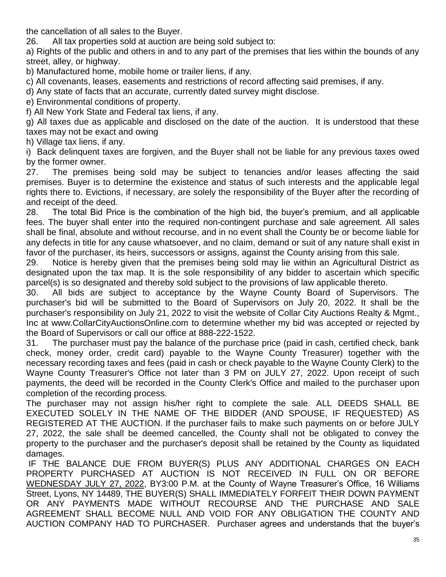the cancellation of all sales to the Buyer.

26. All tax properties sold at auction are being sold subject to:

a) Rights of the public and others in and to any part of the premises that lies within the bounds of any street, alley, or highway.

b) Manufactured home, mobile home or trailer liens, if any.

c) All covenants, leases, easements and restrictions of record affecting said premises, if any.

d) Any state of facts that an accurate, currently dated survey might disclose.

e) Environmental conditions of property.

f) All New York State and Federal tax liens, if any.

g) All taxes due as applicable and disclosed on the date of the auction. It is understood that these taxes may not be exact and owing

h) Village tax liens, if any.

i) Back delinquent taxes are forgiven, and the Buyer shall not be liable for any previous taxes owed by the former owner.

27. The premises being sold may be subject to tenancies and/or leases affecting the said premises. Buyer is to determine the existence and status of such interests and the applicable legal rights there to. Evictions, if necessary, are solely the responsibility of the Buyer after the recording of and receipt of the deed.

28. The total Bid Price is the combination of the high bid, the buyer's premium, and all applicable fees. The buyer shall enter into the required non-contingent purchase and sale agreement. All sales shall be final, absolute and without recourse, and in no event shall the County be or become liable for any defects in title for any cause whatsoever, and no claim, demand or suit of any nature shall exist in favor of the purchaser, its heirs, successors or assigns, against the County arising from this sale.

29. Notice is hereby given that the premises being sold may lie within an Agricultural District as designated upon the tax map. It is the sole responsibility of any bidder to ascertain which specific parcel(s) is so designated and thereby sold subject to the provisions of law applicable thereto.

30. All bids are subject to acceptance by the Wayne County Board of Supervisors. The purchaser's bid will be submitted to the Board of Supervisors on July 20, 2022. It shall be the purchaser's responsibility on July 21, 2022 to visit the website of Collar City Auctions Realty & Mgmt., Inc at www.CollarCityAuctionsOnline.com to determine whether my bid was accepted or rejected by the Board of Supervisors or call our office at 888-222-1522.

31. The purchaser must pay the balance of the purchase price (paid in cash, certified check, bank check, money order, credit card) payable to the Wayne County Treasurer) together with the necessary recording taxes and fees (paid in cash or check payable to the Wayne County Clerk) to the Wayne County Treasurer's Office not later than 3 PM on JULY 27, 2022. Upon receipt of such payments, the deed will be recorded in the County Clerk's Office and mailed to the purchaser upon completion of the recording process.

The purchaser may not assign his/her right to complete the sale. ALL DEEDS SHALL BE EXECUTED SOLELY IN THE NAME OF THE BIDDER (AND SPOUSE, IF REQUESTED) AS REGISTERED AT THE AUCTION. If the purchaser fails to make such payments on or before JULY 27, 2022, the sale shall be deemed cancelled, the County shall not be obligated to convey the property to the purchaser and the purchaser's deposit shall be retained by the County as liquidated damages.

IF THE BALANCE DUE FROM BUYER(S) PLUS ANY ADDITIONAL CHARGES ON EACH PROPERTY PURCHASED AT AUCTION IS NOT RECEIVED IN FULL ON OR BEFORE WEDNESDAY JULY 27, 2022, BY3:00 P.M. at the County of Wayne Treasurer's Office, 16 Williams Street, Lyons, NY 14489, THE BUYER(S) SHALL IMMEDIATELY FORFEIT THEIR DOWN PAYMENT OR ANY PAYMENTS MADE WITHOUT RECOURSE AND THE PURCHASE AND SALE AGREEMENT SHALL BECOME NULL AND VOID FOR ANY OBLIGATION THE COUNTY AND AUCTION COMPANY HAD TO PURCHASER. Purchaser agrees and understands that the buyer's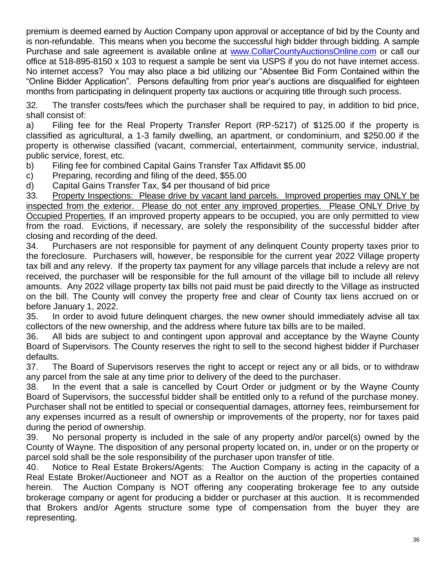premium is deemed earned by Auction Company upon approval or acceptance of bid by the County and is non-refundable. This means when you become the successful high bidder through bidding. A sample Purchase and sale agreement is available online at [www.CollarCountyAuctionsOnline.com](http://www.collarcityauctionsonline.com/) or call our office at 518-895-8150 x 103 to request a sample be sent via USPS if you do not have internet access. No internet access? You may also place a bid utilizing our "Absentee Bid Form Contained within the "Online Bidder Application". Persons defaulting from prior year's auctions are disqualified for eighteen months from participating in delinquent property tax auctions or acquiring title through such process.

32. The transfer costs/fees which the purchaser shall be required to pay, in addition to bid price, shall consist of:

a) Filing fee for the Real Property Transfer Report (RP-5217) of \$125.00 if the property is classified as agricultural, a 1-3 family dwelling, an apartment, or condominium, and \$250.00 if the property is otherwise classified (vacant, commercial, entertainment, community service, industrial, public service, forest, etc.

- b) Filing fee for combined Capital Gains Transfer Tax Affidavit \$5.00
- c) Preparing, recording and filing of the deed, \$55.00
- d) Capital Gains Transfer Tax, \$4 per thousand of bid price

33. Property Inspections: Please drive by vacant land parcels. Improved properties may ONLY be inspected from the exterior. Please do not enter any improved properties. Please ONLY Drive by Occupied Properties. If an improved property appears to be occupied, you are only permitted to view from the road. Evictions, if necessary, are solely the responsibility of the successful bidder after closing and recording of the deed.

34. Purchasers are not responsible for payment of any delinquent County property taxes prior to the foreclosure. Purchasers will, however, be responsible for the current year 2022 Village property tax bill and any relevy. If the property tax payment for any village parcels that include a relevy are not received, the purchaser will be responsible for the full amount of the village bill to include all relevy amounts. Any 2022 village property tax bills not paid must be paid directly to the Village as instructed on the bill. The County will convey the property free and clear of County tax liens accrued on or before January 1, 2022.

35. In order to avoid future delinquent charges, the new owner should immediately advise all tax collectors of the new ownership, and the address where future tax bills are to be mailed.

36. All bids are subject to and contingent upon approval and acceptance by the Wayne County Board of Supervisors. The County reserves the right to sell to the second highest bidder if Purchaser defaults.

37. The Board of Supervisors reserves the right to accept or reject any or all bids, or to withdraw any parcel from the sale at any time prior to delivery of the deed to the purchaser.

38. In the event that a sale is cancelled by Court Order or judgment or by the Wayne County Board of Supervisors, the successful bidder shall be entitled only to a refund of the purchase money. Purchaser shall not be entitled to special or consequential damages, attorney fees, reimbursement for any expenses incurred as a result of ownership or improvements of the property, nor for taxes paid during the period of ownership.

39. No personal property is included in the sale of any property and/or parcel(s) owned by the County of Wayne. The disposition of any personal property located on, in, under or on the property or parcel sold shall be the sole responsibility of the purchaser upon transfer of title.

40. Notice to Real Estate Brokers/Agents: The Auction Company is acting in the capacity of a Real Estate Broker/Auctioneer and NOT as a Realtor on the auction of the properties contained herein. The Auction Company is NOT offering any cooperating brokerage fee to any outside brokerage company or agent for producing a bidder or purchaser at this auction. It is recommended that Brokers and/or Agents structure some type of compensation from the buyer they are representing.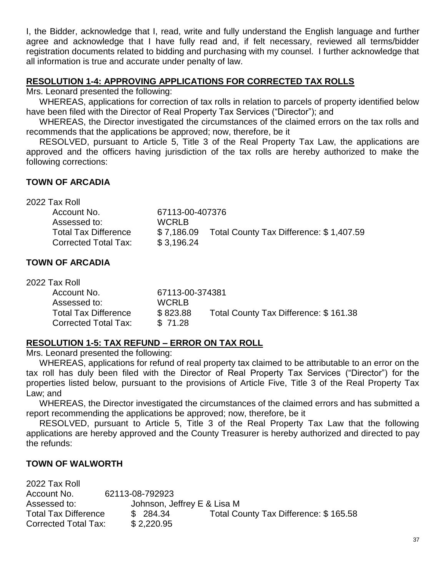I, the Bidder, acknowledge that I, read, write and fully understand the English language and further agree and acknowledge that I have fully read and, if felt necessary, reviewed all terms/bidder registration documents related to bidding and purchasing with my counsel. I further acknowledge that all information is true and accurate under penalty of law.

## **RESOLUTION 1-4: APPROVING APPLICATIONS FOR CORRECTED TAX ROLLS**

Mrs. Leonard presented the following:

WHEREAS, applications for correction of tax rolls in relation to parcels of property identified below have been filed with the Director of Real Property Tax Services ("Director"); and

WHEREAS, the Director investigated the circumstances of the claimed errors on the tax rolls and recommends that the applications be approved; now, therefore, be it

RESOLVED, pursuant to Article 5, Title 3 of the Real Property Tax Law, the applications are approved and the officers having jurisdiction of the tax rolls are hereby authorized to make the following corrections:

## **TOWN OF ARCADIA**

| 67113-00-407376 |                                         |
|-----------------|-----------------------------------------|
| <b>WCRLB</b>    |                                         |
| \$7,186.09      | Total County Tax Difference: \$1,407.59 |
| \$3,196.24      |                                         |
|                 |                                         |

# **TOWN OF ARCADIA**

| 2022 Tax Roll               |                 |                                       |
|-----------------------------|-----------------|---------------------------------------|
| Account No.                 | 67113-00-374381 |                                       |
| Assessed to:                | <b>WCRLB</b>    |                                       |
| <b>Total Tax Difference</b> | \$823.88        | Total County Tax Difference: \$161.38 |
| <b>Corrected Total Tax:</b> | \$71.28         |                                       |

# **RESOLUTION 1-5: TAX REFUND – ERROR ON TAX ROLL**

Mrs. Leonard presented the following:

WHEREAS, applications for refund of real property tax claimed to be attributable to an error on the tax roll has duly been filed with the Director of Real Property Tax Services ("Director") for the properties listed below, pursuant to the provisions of Article Five, Title 3 of the Real Property Tax Law; and

WHEREAS, the Director investigated the circumstances of the claimed errors and has submitted a report recommending the applications be approved; now, therefore, be it

RESOLVED, pursuant to Article 5, Title 3 of the Real Property Tax Law that the following applications are hereby approved and the County Treasurer is hereby authorized and directed to pay the refunds:

#### **TOWN OF WALWORTH**

| 2022 Tax Roll               |                             |                                       |
|-----------------------------|-----------------------------|---------------------------------------|
| Account No.                 | 62113-08-792923             |                                       |
| Assessed to:                | Johnson, Jeffrey E & Lisa M |                                       |
| <b>Total Tax Difference</b> | \$284.34                    | Total County Tax Difference: \$165.58 |
| Corrected Total Tax:        | \$2,220.95                  |                                       |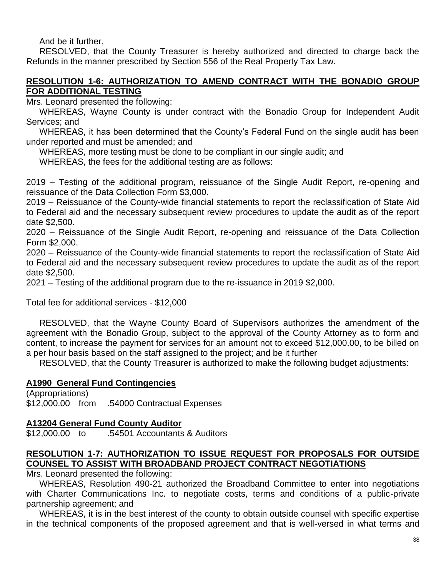And be it further,

RESOLVED, that the County Treasurer is hereby authorized and directed to charge back the Refunds in the manner prescribed by Section 556 of the Real Property Tax Law.

## **RESOLUTION 1-6: AUTHORIZATION TO AMEND CONTRACT WITH THE BONADIO GROUP FOR ADDITIONAL TESTING**

Mrs. Leonard presented the following:

WHEREAS, Wayne County is under contract with the Bonadio Group for Independent Audit Services; and

WHEREAS, it has been determined that the County's Federal Fund on the single audit has been under reported and must be amended; and

WHEREAS, more testing must be done to be compliant in our single audit; and

WHEREAS, the fees for the additional testing are as follows:

2019 – Testing of the additional program, reissuance of the Single Audit Report, re-opening and reissuance of the Data Collection Form \$3,000.

2019 – Reissuance of the County-wide financial statements to report the reclassification of State Aid to Federal aid and the necessary subsequent review procedures to update the audit as of the report date \$2,500.

2020 – Reissuance of the Single Audit Report, re-opening and reissuance of the Data Collection Form \$2,000.

2020 – Reissuance of the County-wide financial statements to report the reclassification of State Aid to Federal aid and the necessary subsequent review procedures to update the audit as of the report date \$2,500.

2021 – Testing of the additional program due to the re-issuance in 2019 \$2,000.

Total fee for additional services - \$12,000

RESOLVED, that the Wayne County Board of Supervisors authorizes the amendment of the agreement with the Bonadio Group, subject to the approval of the County Attorney as to form and content, to increase the payment for services for an amount not to exceed \$12,000.00, to be billed on a per hour basis based on the staff assigned to the project; and be it further

RESOLVED, that the County Treasurer is authorized to make the following budget adjustments:

#### **A1990 General Fund Contingencies**

(Appropriations) \$12,000.00 from .54000 Contractual Expenses

#### **A13204 General Fund County Auditor**

\$12,000.00 to .54501 Accountants & Auditors

#### **RESOLUTION 1-7: AUTHORIZATION TO ISSUE REQUEST FOR PROPOSALS FOR OUTSIDE COUNSEL TO ASSIST WITH BROADBAND PROJECT CONTRACT NEGOTIATIONS**

Mrs. Leonard presented the following:

WHEREAS, Resolution 490-21 authorized the Broadband Committee to enter into negotiations with Charter Communications Inc. to negotiate costs, terms and conditions of a public-private partnership agreement; and

WHEREAS, it is in the best interest of the county to obtain outside counsel with specific expertise in the technical components of the proposed agreement and that is well-versed in what terms and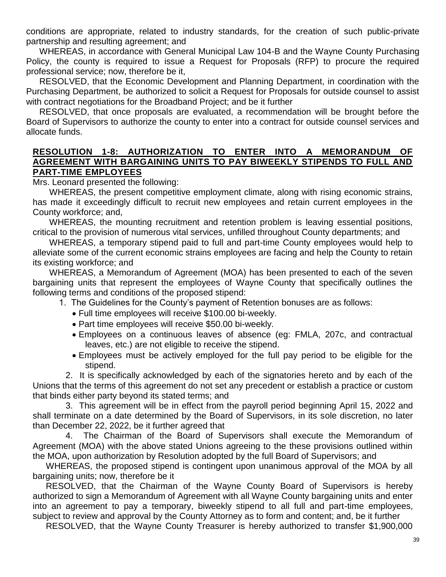conditions are appropriate, related to industry standards, for the creation of such public-private partnership and resulting agreement; and

WHEREAS, in accordance with General Municipal Law 104-B and the Wayne County Purchasing Policy, the county is required to issue a Request for Proposals (RFP) to procure the required professional service; now, therefore be it,

RESOLVED, that the Economic Development and Planning Department, in coordination with the Purchasing Department, be authorized to solicit a Request for Proposals for outside counsel to assist with contract negotiations for the Broadband Project; and be it further

RESOLVED, that once proposals are evaluated, a recommendation will be brought before the Board of Supervisors to authorize the county to enter into a contract for outside counsel services and allocate funds.

## **RESOLUTION 1-8: AUTHORIZATION TO ENTER INTO A MEMORANDUM OF AGREEMENT WITH BARGAINING UNITS TO PAY BIWEEKLY STIPENDS TO FULL AND PART-TIME EMPLOYEES**

Mrs. Leonard presented the following:

WHEREAS, the present competitive employment climate, along with rising economic strains, has made it exceedingly difficult to recruit new employees and retain current employees in the County workforce; and,

WHEREAS, the mounting recruitment and retention problem is leaving essential positions, critical to the provision of numerous vital services, unfilled throughout County departments; and

WHEREAS, a temporary stipend paid to full and part-time County employees would help to alleviate some of the current economic strains employees are facing and help the County to retain its existing workforce; and

WHEREAS, a Memorandum of Agreement (MOA) has been presented to each of the seven bargaining units that represent the employees of Wayne County that specifically outlines the following terms and conditions of the proposed stipend:

- 1. The Guidelines for the County's payment of Retention bonuses are as follows:
	- Full time employees will receive \$100.00 bi-weekly.
	- Part time employees will receive \$50.00 bi-weekly.
	- Employees on a continuous leaves of absence (eg: FMLA, 207c, and contractual leaves, etc.) are not eligible to receive the stipend.
	- Employees must be actively employed for the full pay period to be eligible for the stipend.

2. It is specifically acknowledged by each of the signatories hereto and by each of the Unions that the terms of this agreement do not set any precedent or establish a practice or custom that binds either party beyond its stated terms; and

3. This agreement will be in effect from the payroll period beginning April 15, 2022 and shall terminate on a date determined by the Board of Supervisors, in its sole discretion, no later than December 22, 2022, be it further agreed that

4. The Chairman of the Board of Supervisors shall execute the Memorandum of Agreement (MOA) with the above stated Unions agreeing to the these provisions outlined within the MOA, upon authorization by Resolution adopted by the full Board of Supervisors; and

WHEREAS, the proposed stipend is contingent upon unanimous approval of the MOA by all bargaining units; now, therefore be it

RESOLVED, that the Chairman of the Wayne County Board of Supervisors is hereby authorized to sign a Memorandum of Agreement with all Wayne County bargaining units and enter into an agreement to pay a temporary, biweekly stipend to all full and part-time employees, subject to review and approval by the County Attorney as to form and content; and, be it further

RESOLVED, that the Wayne County Treasurer is hereby authorized to transfer \$1,900,000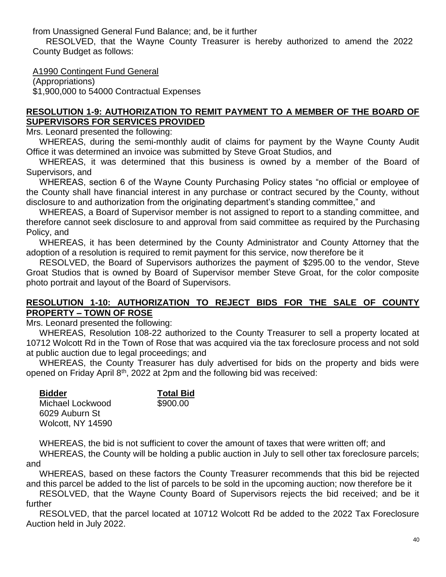from Unassigned General Fund Balance; and, be it further

RESOLVED, that the Wayne County Treasurer is hereby authorized to amend the 2022 County Budget as follows:

A1990 Contingent Fund General

(Appropriations) \$1,900,000 to 54000 Contractual Expenses

# **RESOLUTION 1-9: AUTHORIZATION TO REMIT PAYMENT TO A MEMBER OF THE BOARD OF SUPERVISORS FOR SERVICES PROVIDED**

Mrs. Leonard presented the following:

WHEREAS, during the semi-monthly audit of claims for payment by the Wayne County Audit Office it was determined an invoice was submitted by Steve Groat Studios, and

WHEREAS, it was determined that this business is owned by a member of the Board of Supervisors, and

WHEREAS, section 6 of the Wayne County Purchasing Policy states "no official or employee of the County shall have financial interest in any purchase or contract secured by the County, without disclosure to and authorization from the originating department's standing committee," and

WHEREAS, a Board of Supervisor member is not assigned to report to a standing committee, and therefore cannot seek disclosure to and approval from said committee as required by the Purchasing Policy, and

WHEREAS, it has been determined by the County Administrator and County Attorney that the adoption of a resolution is required to remit payment for this service, now therefore be it

RESOLVED, the Board of Supervisors authorizes the payment of \$295.00 to the vendor, Steve Groat Studios that is owned by Board of Supervisor member Steve Groat, for the color composite photo portrait and layout of the Board of Supervisors.

## **RESOLUTION 1-10: AUTHORIZATION TO REJECT BIDS FOR THE SALE OF COUNTY PROPERTY – TOWN OF ROSE**

Mrs. Leonard presented the following:

WHEREAS, Resolution 108-22 authorized to the County Treasurer to sell a property located at 10712 Wolcott Rd in the Town of Rose that was acquired via the tax foreclosure process and not sold at public auction due to legal proceedings; and

WHEREAS, the County Treasurer has duly advertised for bids on the property and bids were opened on Friday April  $8<sup>th</sup>$ , 2022 at 2pm and the following bid was received:

| <b>Bidder</b>     |  |  |
|-------------------|--|--|
| Michael Lockwood  |  |  |
| 6029 Auburn St    |  |  |
| Wolcott, NY 14590 |  |  |

**Total Bid** 

 $$900.00$ 

WHEREAS, the bid is not sufficient to cover the amount of taxes that were written off; and

WHEREAS, the County will be holding a public auction in July to sell other tax foreclosure parcels; and

WHEREAS, based on these factors the County Treasurer recommends that this bid be rejected and this parcel be added to the list of parcels to be sold in the upcoming auction; now therefore be it

RESOLVED, that the Wayne County Board of Supervisors rejects the bid received; and be it further

RESOLVED, that the parcel located at 10712 Wolcott Rd be added to the 2022 Tax Foreclosure Auction held in July 2022.